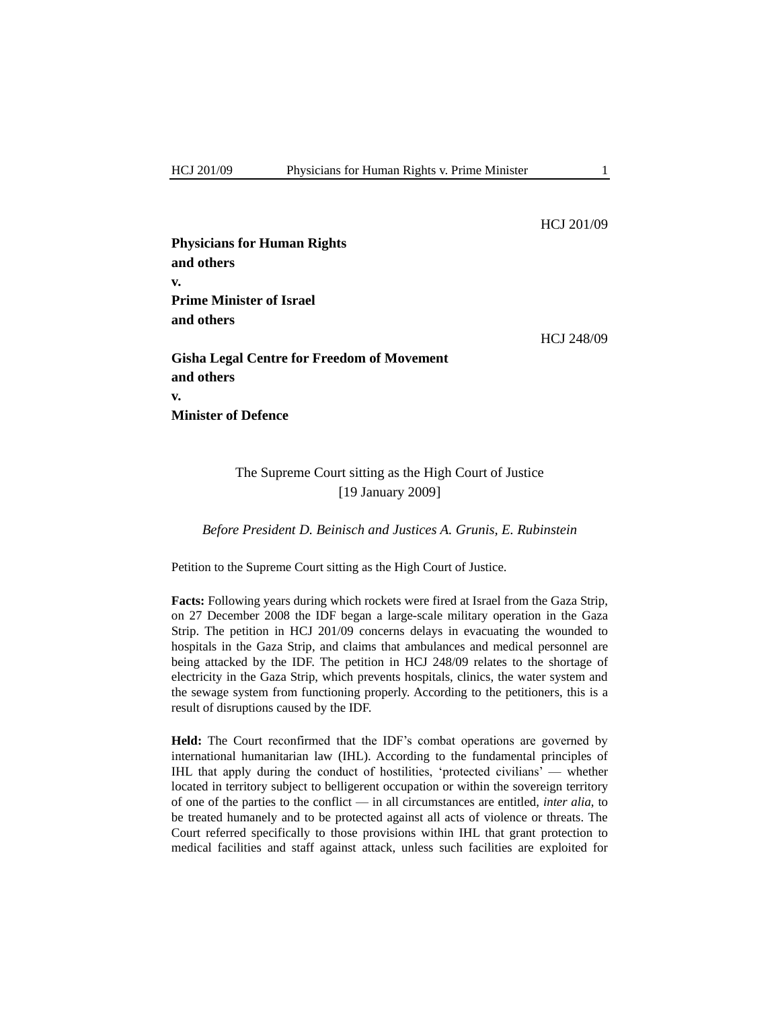#### HCJ 201/09

**Physicians for Human Rights and others v. Prime Minister of Israel and others** HCJ 248/09 **Gisha Legal Centre for Freedom of Movement and others v. Minister of Defence**

# The Supreme Court sitting as the High Court of Justice [19 January 2009]

# *Before President D. Beinisch and Justices A. Grunis, E. Rubinstein*

Petition to the Supreme Court sitting as the High Court of Justice.

**Facts:** Following years during which rockets were fired at Israel from the Gaza Strip, on 27 December 2008 the IDF began a large-scale military operation in the Gaza Strip. The petition in HCJ 201/09 concerns delays in evacuating the wounded to hospitals in the Gaza Strip, and claims that ambulances and medical personnel are being attacked by the IDF. The petition in HCJ 248/09 relates to the shortage of electricity in the Gaza Strip, which prevents hospitals, clinics, the water system and the sewage system from functioning properly. According to the petitioners, this is a result of disruptions caused by the IDF.

**Held:** The Court reconfirmed that the IDF"s combat operations are governed by international humanitarian law (IHL). According to the fundamental principles of IHL that apply during the conduct of hostilities, "protected civilians" — whether located in territory subject to belligerent occupation or within the sovereign territory of one of the parties to the conflict — in all circumstances are entitled, *inter alia*, to be treated humanely and to be protected against all acts of violence or threats. The Court referred specifically to those provisions within IHL that grant protection to medical facilities and staff against attack, unless such facilities are exploited for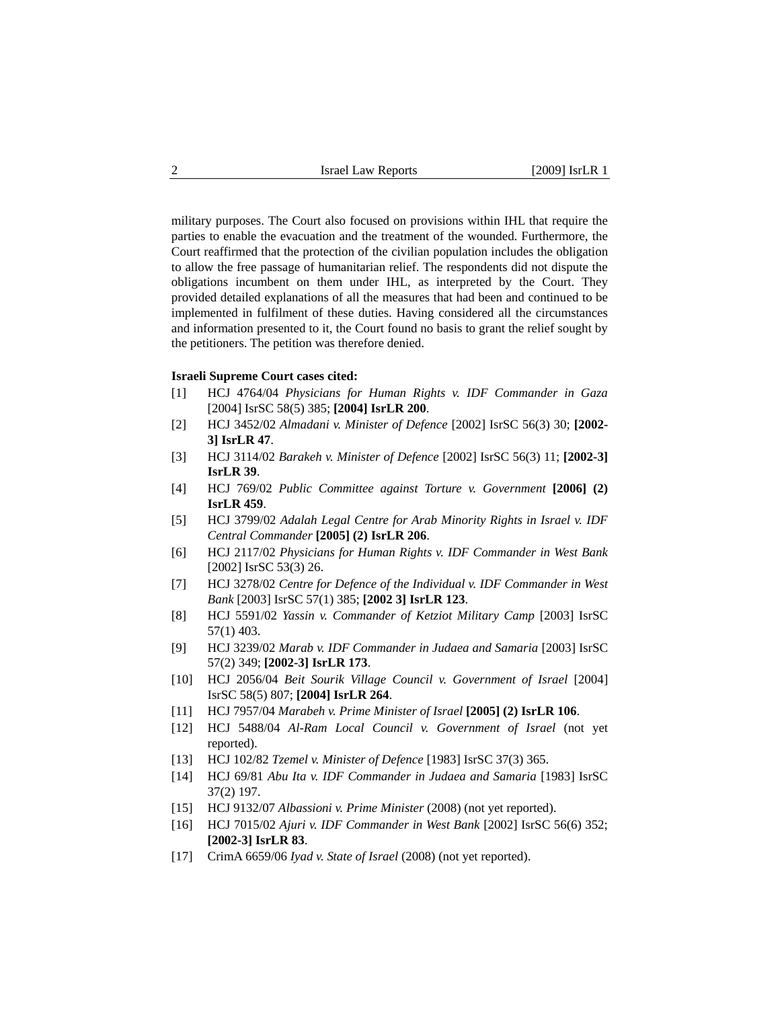military purposes. The Court also focused on provisions within IHL that require the parties to enable the evacuation and the treatment of the wounded. Furthermore, the Court reaffirmed that the protection of the civilian population includes the obligation to allow the free passage of humanitarian relief. The respondents did not dispute the obligations incumbent on them under IHL, as interpreted by the Court. They provided detailed explanations of all the measures that had been and continued to be implemented in fulfilment of these duties. Having considered all the circumstances and information presented to it, the Court found no basis to grant the relief sought by the petitioners. The petition was therefore denied.

#### **Israeli Supreme Court cases cited:**

- [1] HCJ 4764/04 *Physicians for Human Rights v. IDF Commander in Gaza* [2004] IsrSC 58(5) 385; **[2004] IsrLR 200**.
- [2] HCJ 3452/02 *Almadani v. Minister of Defence* [2002] IsrSC 56(3) 30; **[2002- 3] IsrLR 47**.
- [3] HCJ 3114/02 *Barakeh v. Minister of Defence* [2002] IsrSC 56(3) 11; **[2002-3] IsrLR 39**.
- [4] HCJ 769/02 *Public Committee against Torture v. Government* **[2006] (2) IsrLR 459**.
- [5] HCJ 3799/02 *Adalah Legal Centre for Arab Minority Rights in Israel v. IDF Central Commander* **[2005] (2) IsrLR 206**.
- [6] HCJ 2117/02 *Physicians for Human Rights v. IDF Commander in West Bank* [2002] IsrSC 53(3) 26.
- [7] HCJ 3278/02 *Centre for Defence of the Individual v. IDF Commander in West Bank* [2003] IsrSC 57(1) 385; **[2002 3] IsrLR 123**.
- [8] HCJ 5591/02 *Yassin v. Commander of Ketziot Military Camp* [2003] IsrSC 57(1) 403.
- [9] HCJ 3239/02 *Marab v. IDF Commander in Judaea and Samaria* [2003] IsrSC 57(2) 349; **[2002-3] IsrLR 173**.
- [10] HCJ 2056/04 *Beit Sourik Village Council v. Government of Israel* [2004] IsrSC 58(5) 807; **[2004] IsrLR 264**.
- [11] HCJ 7957/04 *Marabeh v. Prime Minister of Israel* **[2005] (2) IsrLR 106**.
- [12] HCJ 5488/04 *Al-Ram Local Council v. Government of Israel* (not yet reported).
- [13] HCJ 102/82 *Tzemel v. Minister of Defence* [1983] IsrSC 37(3) 365.
- [14] HCJ 69/81 *Abu Ita v. IDF Commander in Judaea and Samaria* [1983] IsrSC 37(2) 197.
- [15] HCJ 9132/07 *Albassioni v. Prime Minister* (2008) (not yet reported).
- [16] HCJ 7015/02 *Ajuri v. IDF Commander in West Bank* [2002] IsrSC 56(6) 352; **[2002-3] IsrLR 83**.
- [17] CrimA 6659/06 *Iyad v. State of Israel* (2008) (not yet reported).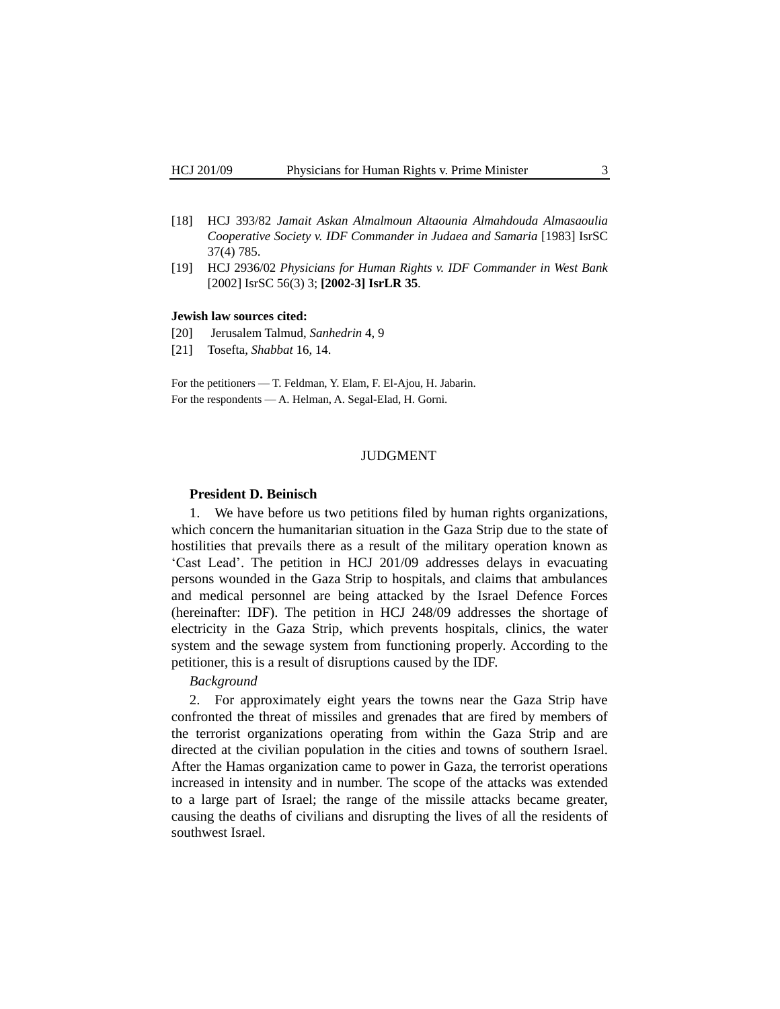- [18] HCJ 393/82 *Jamait Askan Almalmoun Altaounia Almahdouda Almasaoulia Cooperative Society v. IDF Commander in Judaea and Samaria* [1983] IsrSC 37(4) 785.
- [19] HCJ 2936/02 *Physicians for Human Rights v. IDF Commander in West Bank* [2002] IsrSC 56(3) 3; **[2002-3] IsrLR 35**.

# **Jewish law sources cited:**

- [20] Jerusalem Talmud, *Sanhedrin* 4, 9
- [21] Tosefta, *Shabbat* 16, 14.

For the petitioners — T. Feldman, Y. Elam, F. El-Ajou, H. Jabarin. For the respondents — A. Helman, A. Segal-Elad, H. Gorni.

#### JUDGMENT

#### **President D. Beinisch**

1. We have before us two petitions filed by human rights organizations, which concern the humanitarian situation in the Gaza Strip due to the state of hostilities that prevails there as a result of the military operation known as "Cast Lead". The petition in HCJ 201/09 addresses delays in evacuating persons wounded in the Gaza Strip to hospitals, and claims that ambulances and medical personnel are being attacked by the Israel Defence Forces (hereinafter: IDF). The petition in HCJ 248/09 addresses the shortage of electricity in the Gaza Strip, which prevents hospitals, clinics, the water system and the sewage system from functioning properly. According to the petitioner, this is a result of disruptions caused by the IDF.

# *Background*

2. For approximately eight years the towns near the Gaza Strip have confronted the threat of missiles and grenades that are fired by members of the terrorist organizations operating from within the Gaza Strip and are directed at the civilian population in the cities and towns of southern Israel. After the Hamas organization came to power in Gaza, the terrorist operations increased in intensity and in number. The scope of the attacks was extended to a large part of Israel; the range of the missile attacks became greater, causing the deaths of civilians and disrupting the lives of all the residents of southwest Israel.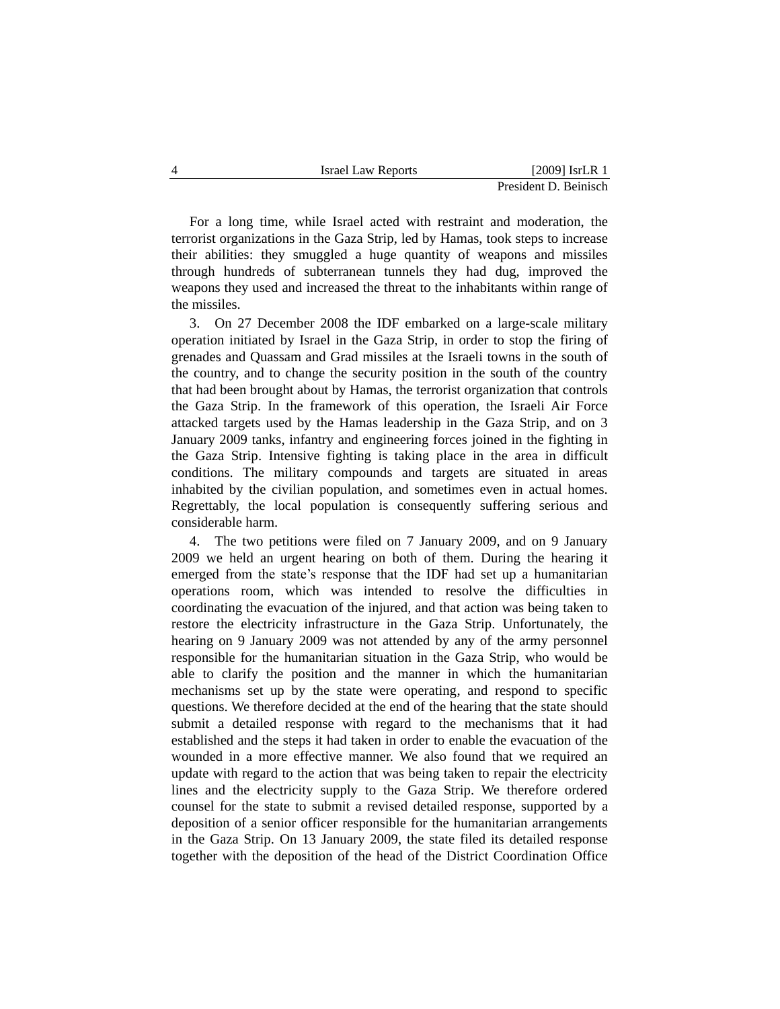| <b>Israel Law Reports</b> | $[2009]$ IsrLR 1      |
|---------------------------|-----------------------|
|                           | President D. Beinisch |

For a long time, while Israel acted with restraint and moderation, the terrorist organizations in the Gaza Strip, led by Hamas, took steps to increase their abilities: they smuggled a huge quantity of weapons and missiles through hundreds of subterranean tunnels they had dug, improved the weapons they used and increased the threat to the inhabitants within range of the missiles.

3. On 27 December 2008 the IDF embarked on a large-scale military operation initiated by Israel in the Gaza Strip, in order to stop the firing of grenades and Quassam and Grad missiles at the Israeli towns in the south of the country, and to change the security position in the south of the country that had been brought about by Hamas, the terrorist organization that controls the Gaza Strip. In the framework of this operation, the Israeli Air Force attacked targets used by the Hamas leadership in the Gaza Strip, and on 3 January 2009 tanks, infantry and engineering forces joined in the fighting in the Gaza Strip. Intensive fighting is taking place in the area in difficult conditions. The military compounds and targets are situated in areas inhabited by the civilian population, and sometimes even in actual homes. Regrettably, the local population is consequently suffering serious and considerable harm.

4. The two petitions were filed on 7 January 2009, and on 9 January 2009 we held an urgent hearing on both of them. During the hearing it emerged from the state's response that the IDF had set up a humanitarian operations room, which was intended to resolve the difficulties in coordinating the evacuation of the injured, and that action was being taken to restore the electricity infrastructure in the Gaza Strip. Unfortunately, the hearing on 9 January 2009 was not attended by any of the army personnel responsible for the humanitarian situation in the Gaza Strip, who would be able to clarify the position and the manner in which the humanitarian mechanisms set up by the state were operating, and respond to specific questions. We therefore decided at the end of the hearing that the state should submit a detailed response with regard to the mechanisms that it had established and the steps it had taken in order to enable the evacuation of the wounded in a more effective manner. We also found that we required an update with regard to the action that was being taken to repair the electricity lines and the electricity supply to the Gaza Strip. We therefore ordered counsel for the state to submit a revised detailed response, supported by a deposition of a senior officer responsible for the humanitarian arrangements in the Gaza Strip. On 13 January 2009, the state filed its detailed response together with the deposition of the head of the District Coordination Office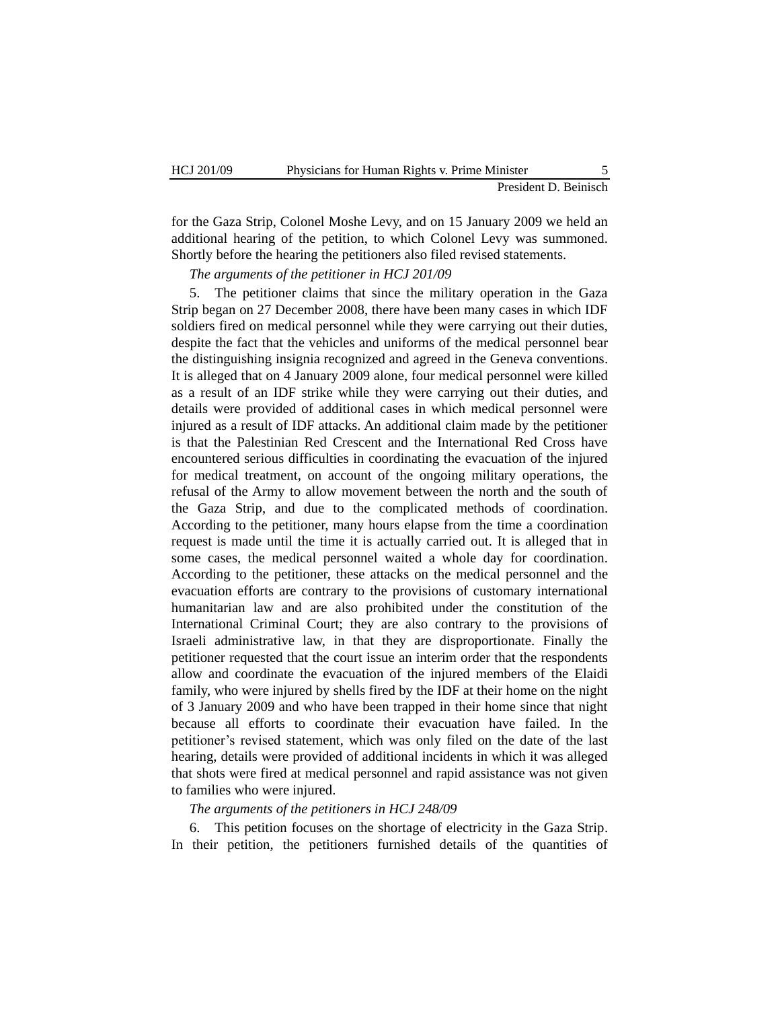for the Gaza Strip, Colonel Moshe Levy, and on 15 January 2009 we held an additional hearing of the petition, to which Colonel Levy was summoned. Shortly before the hearing the petitioners also filed revised statements.

*The arguments of the petitioner in HCJ 201/09*

5. The petitioner claims that since the military operation in the Gaza Strip began on 27 December 2008, there have been many cases in which IDF soldiers fired on medical personnel while they were carrying out their duties, despite the fact that the vehicles and uniforms of the medical personnel bear the distinguishing insignia recognized and agreed in the Geneva conventions. It is alleged that on 4 January 2009 alone, four medical personnel were killed as a result of an IDF strike while they were carrying out their duties, and details were provided of additional cases in which medical personnel were injured as a result of IDF attacks. An additional claim made by the petitioner is that the Palestinian Red Crescent and the International Red Cross have encountered serious difficulties in coordinating the evacuation of the injured for medical treatment, on account of the ongoing military operations, the refusal of the Army to allow movement between the north and the south of the Gaza Strip, and due to the complicated methods of coordination. According to the petitioner, many hours elapse from the time a coordination request is made until the time it is actually carried out. It is alleged that in some cases, the medical personnel waited a whole day for coordination. According to the petitioner, these attacks on the medical personnel and the evacuation efforts are contrary to the provisions of customary international humanitarian law and are also prohibited under the constitution of the International Criminal Court; they are also contrary to the provisions of Israeli administrative law, in that they are disproportionate. Finally the petitioner requested that the court issue an interim order that the respondents allow and coordinate the evacuation of the injured members of the Elaidi family, who were injured by shells fired by the IDF at their home on the night of 3 January 2009 and who have been trapped in their home since that night because all efforts to coordinate their evacuation have failed. In the petitioner"s revised statement, which was only filed on the date of the last hearing, details were provided of additional incidents in which it was alleged that shots were fired at medical personnel and rapid assistance was not given to families who were injured.

*The arguments of the petitioners in HCJ 248/09*

6. This petition focuses on the shortage of electricity in the Gaza Strip. In their petition, the petitioners furnished details of the quantities of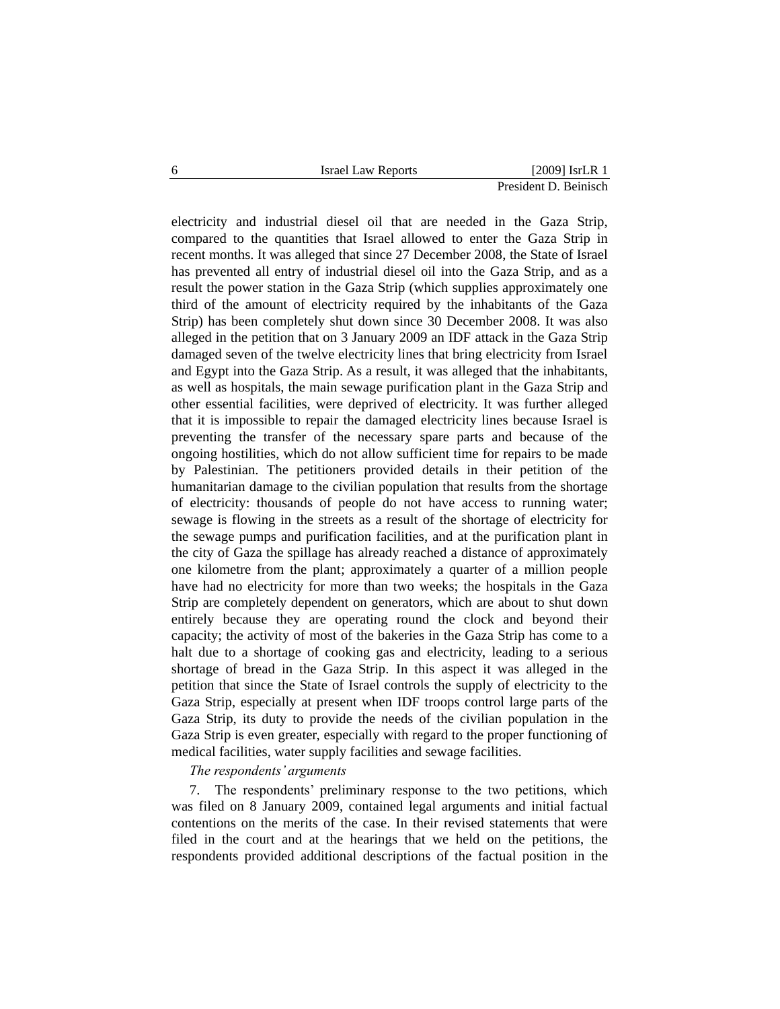electricity and industrial diesel oil that are needed in the Gaza Strip, compared to the quantities that Israel allowed to enter the Gaza Strip in recent months. It was alleged that since 27 December 2008, the State of Israel has prevented all entry of industrial diesel oil into the Gaza Strip, and as a result the power station in the Gaza Strip (which supplies approximately one third of the amount of electricity required by the inhabitants of the Gaza Strip) has been completely shut down since 30 December 2008. It was also alleged in the petition that on 3 January 2009 an IDF attack in the Gaza Strip damaged seven of the twelve electricity lines that bring electricity from Israel and Egypt into the Gaza Strip. As a result, it was alleged that the inhabitants, as well as hospitals, the main sewage purification plant in the Gaza Strip and other essential facilities, were deprived of electricity. It was further alleged that it is impossible to repair the damaged electricity lines because Israel is preventing the transfer of the necessary spare parts and because of the ongoing hostilities, which do not allow sufficient time for repairs to be made by Palestinian. The petitioners provided details in their petition of the humanitarian damage to the civilian population that results from the shortage of electricity: thousands of people do not have access to running water; sewage is flowing in the streets as a result of the shortage of electricity for the sewage pumps and purification facilities, and at the purification plant in the city of Gaza the spillage has already reached a distance of approximately one kilometre from the plant; approximately a quarter of a million people have had no electricity for more than two weeks; the hospitals in the Gaza Strip are completely dependent on generators, which are about to shut down entirely because they are operating round the clock and beyond their capacity; the activity of most of the bakeries in the Gaza Strip has come to a halt due to a shortage of cooking gas and electricity, leading to a serious shortage of bread in the Gaza Strip. In this aspect it was alleged in the petition that since the State of Israel controls the supply of electricity to the Gaza Strip, especially at present when IDF troops control large parts of the Gaza Strip, its duty to provide the needs of the civilian population in the Gaza Strip is even greater, especially with regard to the proper functioning of medical facilities, water supply facilities and sewage facilities.

# *The respondents' arguments*

7. The respondents" preliminary response to the two petitions, which was filed on 8 January 2009, contained legal arguments and initial factual contentions on the merits of the case. In their revised statements that were filed in the court and at the hearings that we held on the petitions, the respondents provided additional descriptions of the factual position in the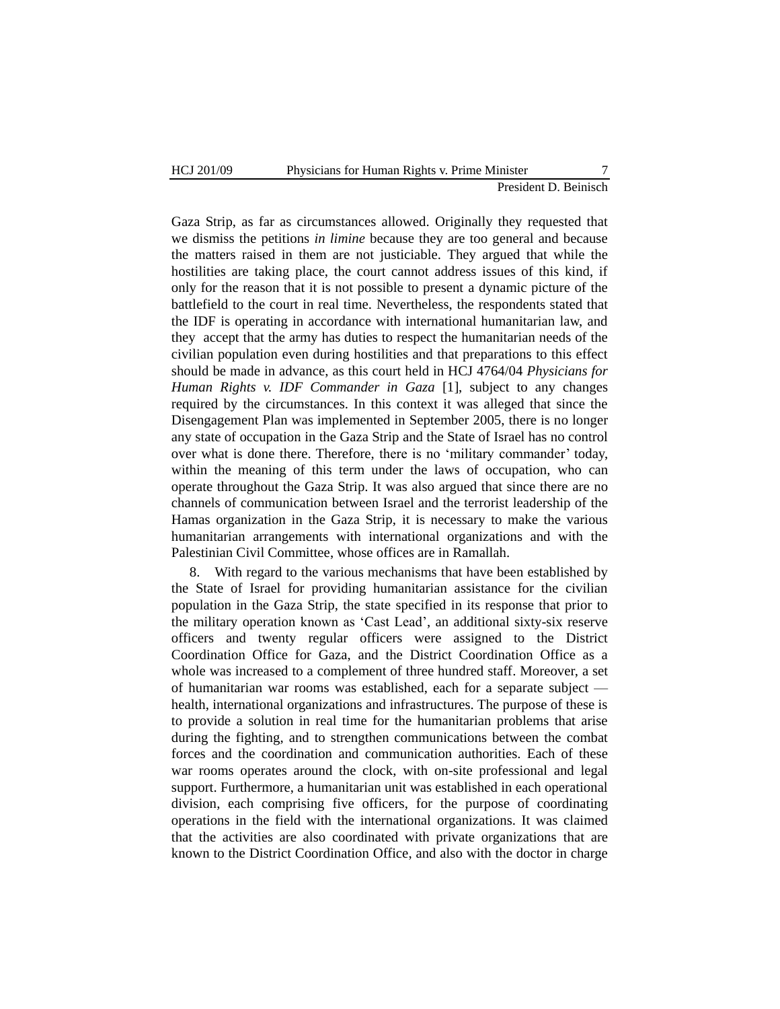Gaza Strip, as far as circumstances allowed. Originally they requested that we dismiss the petitions *in limine* because they are too general and because the matters raised in them are not justiciable. They argued that while the hostilities are taking place, the court cannot address issues of this kind, if only for the reason that it is not possible to present a dynamic picture of the battlefield to the court in real time. Nevertheless, the respondents stated that the IDF is operating in accordance with international humanitarian law, and they accept that the army has duties to respect the humanitarian needs of the civilian population even during hostilities and that preparations to this effect should be made in advance, as this court held in HCJ 4764/04 *Physicians for Human Rights v. IDF Commander in Gaza* [1], subject to any changes required by the circumstances. In this context it was alleged that since the Disengagement Plan was implemented in September 2005, there is no longer any state of occupation in the Gaza Strip and the State of Israel has no control over what is done there. Therefore, there is no "military commander" today, within the meaning of this term under the laws of occupation, who can operate throughout the Gaza Strip. It was also argued that since there are no channels of communication between Israel and the terrorist leadership of the Hamas organization in the Gaza Strip, it is necessary to make the various humanitarian arrangements with international organizations and with the Palestinian Civil Committee, whose offices are in Ramallah.

8. With regard to the various mechanisms that have been established by the State of Israel for providing humanitarian assistance for the civilian population in the Gaza Strip, the state specified in its response that prior to the military operation known as "Cast Lead", an additional sixty-six reserve officers and twenty regular officers were assigned to the District Coordination Office for Gaza, and the District Coordination Office as a whole was increased to a complement of three hundred staff. Moreover, a set of humanitarian war rooms was established, each for a separate subject health, international organizations and infrastructures. The purpose of these is to provide a solution in real time for the humanitarian problems that arise during the fighting, and to strengthen communications between the combat forces and the coordination and communication authorities. Each of these war rooms operates around the clock, with on-site professional and legal support. Furthermore, a humanitarian unit was established in each operational division, each comprising five officers, for the purpose of coordinating operations in the field with the international organizations. It was claimed that the activities are also coordinated with private organizations that are known to the District Coordination Office, and also with the doctor in charge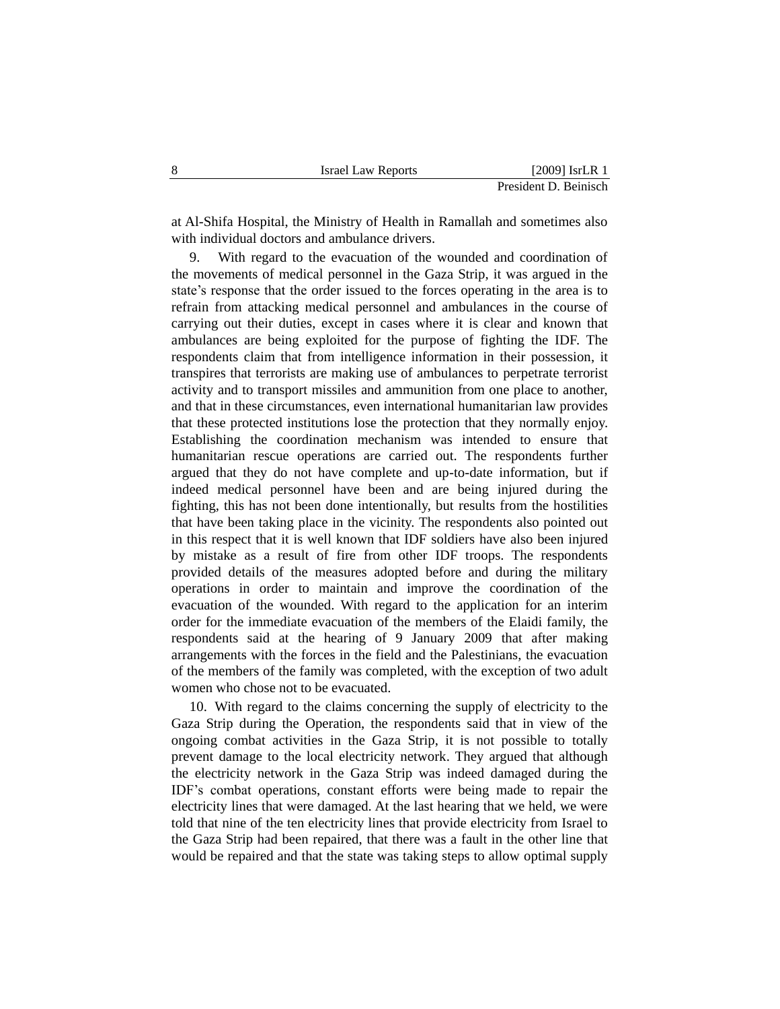at Al-Shifa Hospital, the Ministry of Health in Ramallah and sometimes also with individual doctors and ambulance drivers.

9. With regard to the evacuation of the wounded and coordination of the movements of medical personnel in the Gaza Strip, it was argued in the state's response that the order issued to the forces operating in the area is to refrain from attacking medical personnel and ambulances in the course of carrying out their duties, except in cases where it is clear and known that ambulances are being exploited for the purpose of fighting the IDF. The respondents claim that from intelligence information in their possession, it transpires that terrorists are making use of ambulances to perpetrate terrorist activity and to transport missiles and ammunition from one place to another, and that in these circumstances, even international humanitarian law provides that these protected institutions lose the protection that they normally enjoy. Establishing the coordination mechanism was intended to ensure that humanitarian rescue operations are carried out. The respondents further argued that they do not have complete and up-to-date information, but if indeed medical personnel have been and are being injured during the fighting, this has not been done intentionally, but results from the hostilities that have been taking place in the vicinity. The respondents also pointed out in this respect that it is well known that IDF soldiers have also been injured by mistake as a result of fire from other IDF troops. The respondents provided details of the measures adopted before and during the military operations in order to maintain and improve the coordination of the evacuation of the wounded. With regard to the application for an interim order for the immediate evacuation of the members of the Elaidi family, the respondents said at the hearing of 9 January 2009 that after making arrangements with the forces in the field and the Palestinians, the evacuation of the members of the family was completed, with the exception of two adult women who chose not to be evacuated.

10. With regard to the claims concerning the supply of electricity to the Gaza Strip during the Operation, the respondents said that in view of the ongoing combat activities in the Gaza Strip, it is not possible to totally prevent damage to the local electricity network. They argued that although the electricity network in the Gaza Strip was indeed damaged during the IDF"s combat operations, constant efforts were being made to repair the electricity lines that were damaged. At the last hearing that we held, we were told that nine of the ten electricity lines that provide electricity from Israel to the Gaza Strip had been repaired, that there was a fault in the other line that would be repaired and that the state was taking steps to allow optimal supply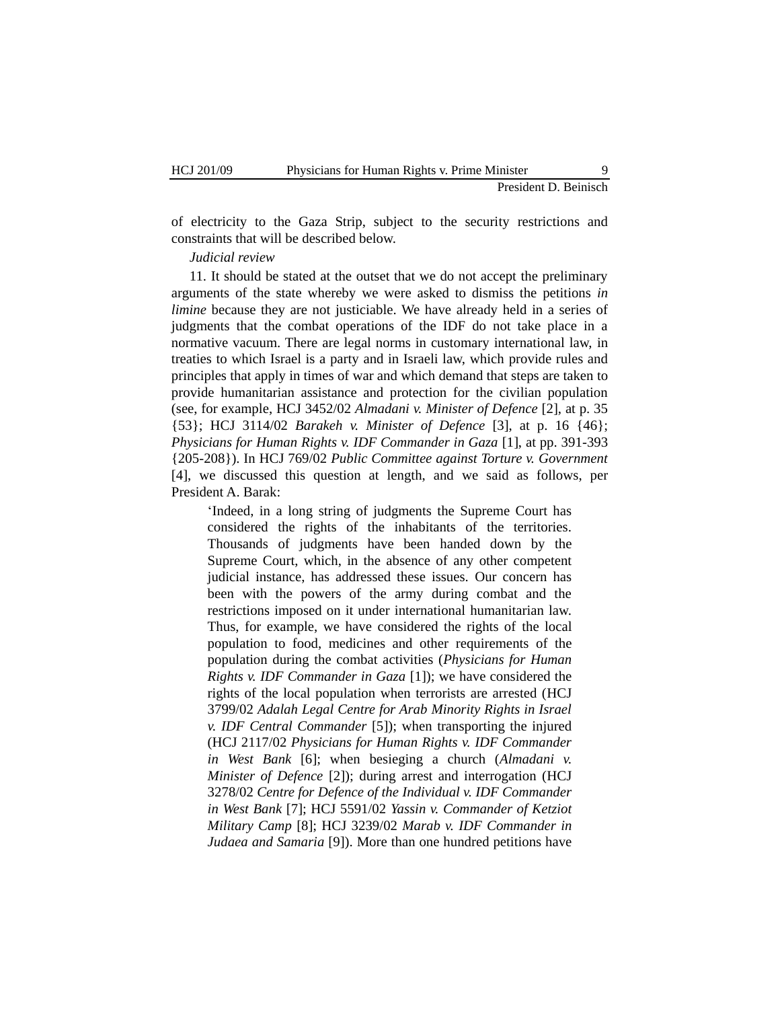of electricity to the Gaza Strip, subject to the security restrictions and constraints that will be described below.

# *Judicial review*

11. It should be stated at the outset that we do not accept the preliminary arguments of the state whereby we were asked to dismiss the petitions *in limine* because they are not justiciable. We have already held in a series of judgments that the combat operations of the IDF do not take place in a normative vacuum. There are legal norms in customary international law, in treaties to which Israel is a party and in Israeli law, which provide rules and principles that apply in times of war and which demand that steps are taken to provide humanitarian assistance and protection for the civilian population (see, for example, HCJ 3452/02 *Almadani v. Minister of Defence* [2], at p. 35 {53}; HCJ 3114/02 *Barakeh v. Minister of Defence* [3], at p. 16 {46}; *Physicians for Human Rights v. IDF Commander in Gaza* [1], at pp. 391-393 {205-208}). In HCJ 769/02 *Public Committee against Torture v. Government* [4], we discussed this question at length, and we said as follows, per President A. Barak:

"Indeed, in a long string of judgments the Supreme Court has considered the rights of the inhabitants of the territories. Thousands of judgments have been handed down by the Supreme Court, which, in the absence of any other competent judicial instance, has addressed these issues. Our concern has been with the powers of the army during combat and the restrictions imposed on it under international humanitarian law. Thus, for example, we have considered the rights of the local population to food, medicines and other requirements of the population during the combat activities (*Physicians for Human Rights v. IDF Commander in Gaza* [1]); we have considered the rights of the local population when terrorists are arrested (HCJ 3799/02 *Adalah Legal Centre for Arab Minority Rights in Israel v. IDF Central Commander* [5]); when transporting the injured (HCJ 2117/02 *Physicians for Human Rights v. IDF Commander in West Bank* [6]; when besieging a church (*Almadani v. Minister of Defence* [2]); during arrest and interrogation (HCJ 3278/02 *Centre for Defence of the Individual v. IDF Commander in West Bank* [7]; HCJ 5591/02 *Yassin v. Commander of Ketziot Military Camp* [8]; HCJ 3239/02 *Marab v. IDF Commander in Judaea and Samaria* [9]). More than one hundred petitions have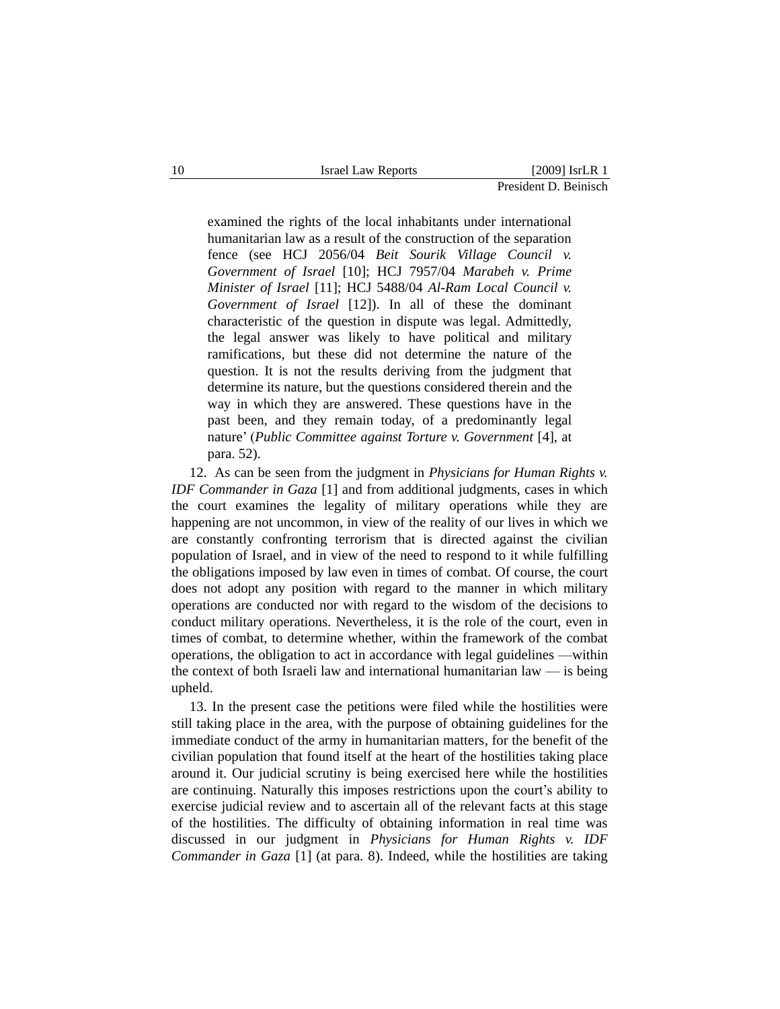examined the rights of the local inhabitants under international humanitarian law as a result of the construction of the separation fence (see HCJ 2056/04 *Beit Sourik Village Council v. Government of Israel* [10]; HCJ 7957/04 *Marabeh v. Prime Minister of Israel* [11]; HCJ 5488/04 *Al-Ram Local Council v. Government of Israel* [12]). In all of these the dominant characteristic of the question in dispute was legal. Admittedly, the legal answer was likely to have political and military ramifications, but these did not determine the nature of the question. It is not the results deriving from the judgment that determine its nature, but the questions considered therein and the way in which they are answered. These questions have in the past been, and they remain today, of a predominantly legal nature" (*Public Committee against Torture v. Government* [4], at para. 52).

12. As can be seen from the judgment in *Physicians for Human Rights v. IDF Commander in Gaza* [1] and from additional judgments, cases in which the court examines the legality of military operations while they are happening are not uncommon, in view of the reality of our lives in which we are constantly confronting terrorism that is directed against the civilian population of Israel, and in view of the need to respond to it while fulfilling the obligations imposed by law even in times of combat. Of course, the court does not adopt any position with regard to the manner in which military operations are conducted nor with regard to the wisdom of the decisions to conduct military operations. Nevertheless, it is the role of the court, even in times of combat, to determine whether, within the framework of the combat operations, the obligation to act in accordance with legal guidelines —within the context of both Israeli law and international humanitarian law — is being upheld.

13. In the present case the petitions were filed while the hostilities were still taking place in the area, with the purpose of obtaining guidelines for the immediate conduct of the army in humanitarian matters, for the benefit of the civilian population that found itself at the heart of the hostilities taking place around it. Our judicial scrutiny is being exercised here while the hostilities are continuing. Naturally this imposes restrictions upon the court's ability to exercise judicial review and to ascertain all of the relevant facts at this stage of the hostilities. The difficulty of obtaining information in real time was discussed in our judgment in *Physicians for Human Rights v. IDF Commander in Gaza* [1] (at para. 8). Indeed, while the hostilities are taking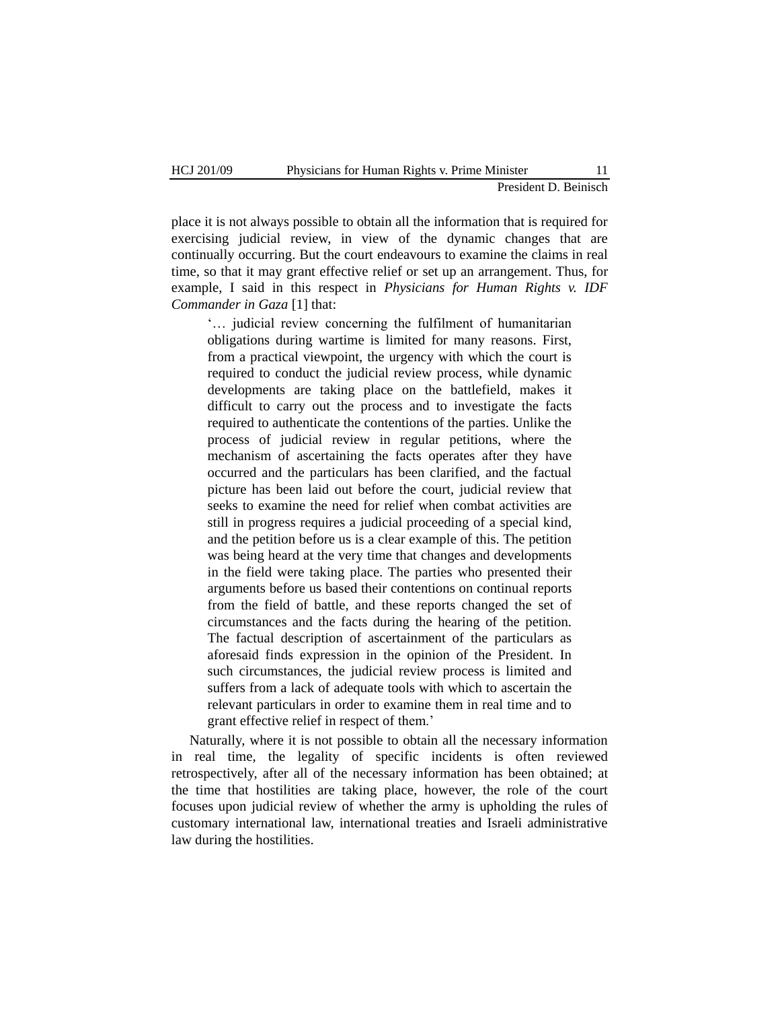place it is not always possible to obtain all the information that is required for exercising judicial review, in view of the dynamic changes that are continually occurring. But the court endeavours to examine the claims in real time, so that it may grant effective relief or set up an arrangement. Thus, for example, I said in this respect in *Physicians for Human Rights v. IDF Commander in Gaza* [1] that:

"… judicial review concerning the fulfilment of humanitarian obligations during wartime is limited for many reasons. First, from a practical viewpoint, the urgency with which the court is required to conduct the judicial review process, while dynamic developments are taking place on the battlefield, makes it difficult to carry out the process and to investigate the facts required to authenticate the contentions of the parties. Unlike the process of judicial review in regular petitions, where the mechanism of ascertaining the facts operates after they have occurred and the particulars has been clarified, and the factual picture has been laid out before the court, judicial review that seeks to examine the need for relief when combat activities are still in progress requires a judicial proceeding of a special kind, and the petition before us is a clear example of this. The petition was being heard at the very time that changes and developments in the field were taking place. The parties who presented their arguments before us based their contentions on continual reports from the field of battle, and these reports changed the set of circumstances and the facts during the hearing of the petition. The factual description of ascertainment of the particulars as aforesaid finds expression in the opinion of the President. In such circumstances, the judicial review process is limited and suffers from a lack of adequate tools with which to ascertain the relevant particulars in order to examine them in real time and to grant effective relief in respect of them."

Naturally, where it is not possible to obtain all the necessary information in real time, the legality of specific incidents is often reviewed retrospectively, after all of the necessary information has been obtained; at the time that hostilities are taking place, however, the role of the court focuses upon judicial review of whether the army is upholding the rules of customary international law, international treaties and Israeli administrative law during the hostilities.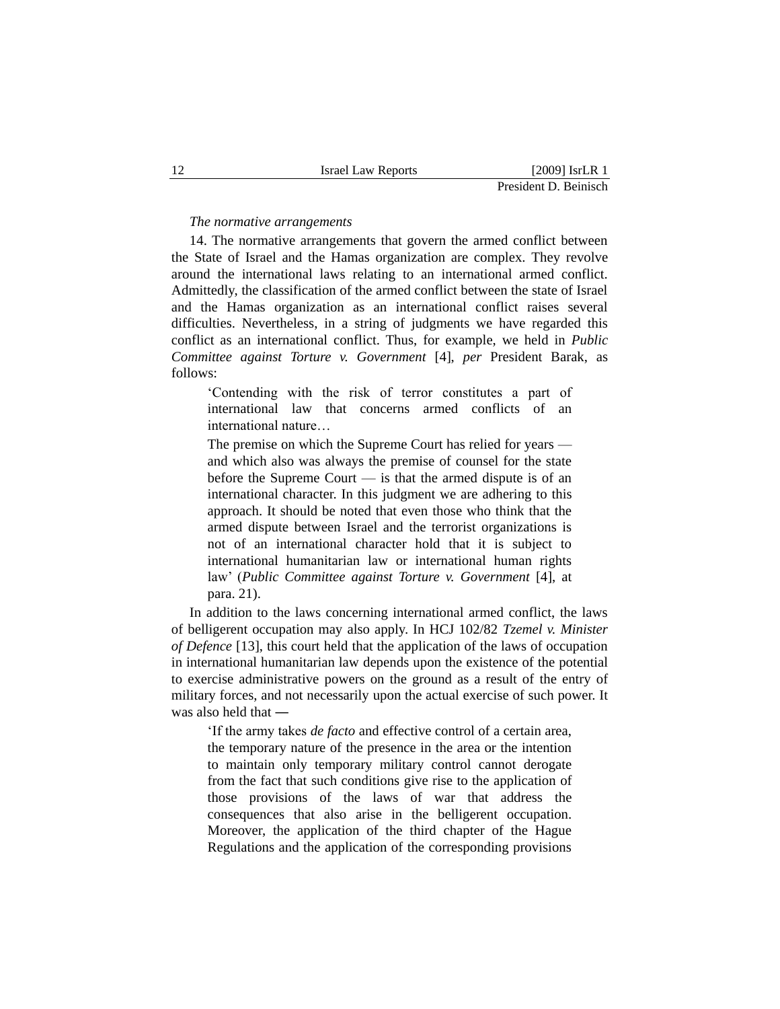#### *The normative arrangements*

14. The normative arrangements that govern the armed conflict between the State of Israel and the Hamas organization are complex. They revolve around the international laws relating to an international armed conflict. Admittedly, the classification of the armed conflict between the state of Israel and the Hamas organization as an international conflict raises several difficulties. Nevertheless, in a string of judgments we have regarded this conflict as an international conflict. Thus, for example, we held in *Public Committee against Torture v. Government* [4], *per* President Barak, as follows:

"Contending with the risk of terror constitutes a part of international law that concerns armed conflicts of an international nature…

The premise on which the Supreme Court has relied for years and which also was always the premise of counsel for the state before the Supreme Court — is that the armed dispute is of an international character. In this judgment we are adhering to this approach. It should be noted that even those who think that the armed dispute between Israel and the terrorist organizations is not of an international character hold that it is subject to international humanitarian law or international human rights law" (*Public Committee against Torture v. Government* [4], at para. 21).

In addition to the laws concerning international armed conflict, the laws of belligerent occupation may also apply. In HCJ 102/82 *Tzemel v. Minister of Defence* [13], this court held that the application of the laws of occupation in international humanitarian law depends upon the existence of the potential to exercise administrative powers on the ground as a result of the entry of military forces, and not necessarily upon the actual exercise of such power. It was also held that ―

"If the army takes *de facto* and effective control of a certain area, the temporary nature of the presence in the area or the intention to maintain only temporary military control cannot derogate from the fact that such conditions give rise to the application of those provisions of the laws of war that address the consequences that also arise in the belligerent occupation. Moreover, the application of the third chapter of the Hague Regulations and the application of the corresponding provisions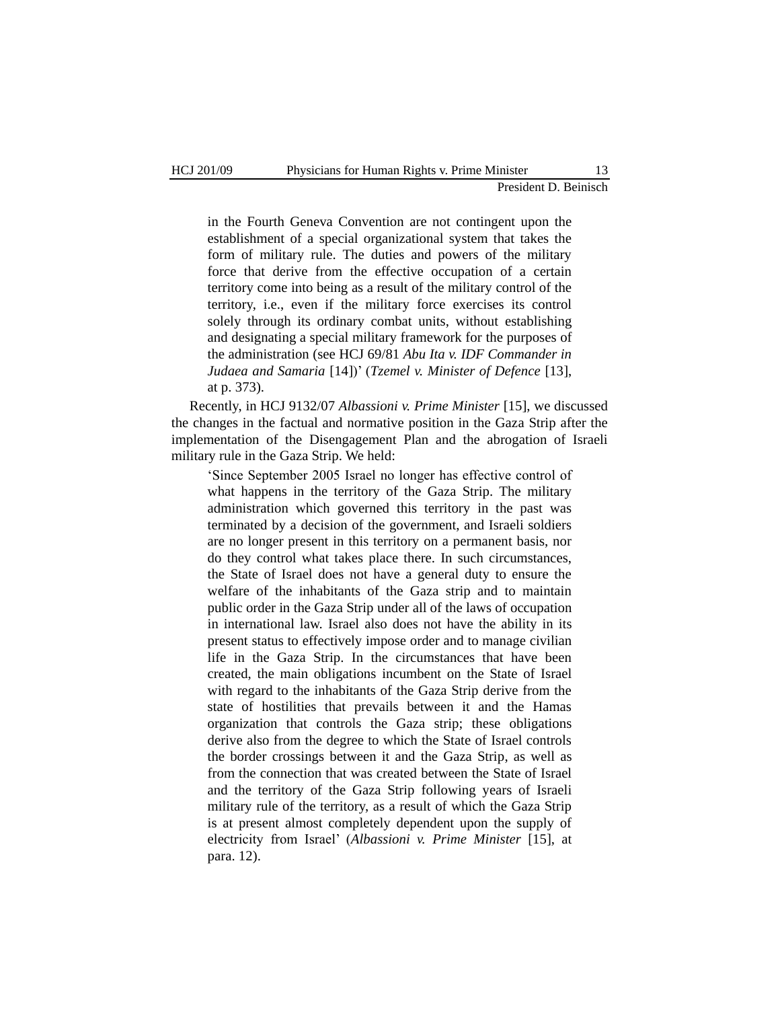in the Fourth Geneva Convention are not contingent upon the establishment of a special organizational system that takes the form of military rule. The duties and powers of the military force that derive from the effective occupation of a certain territory come into being as a result of the military control of the territory, i.e., even if the military force exercises its control solely through its ordinary combat units, without establishing and designating a special military framework for the purposes of the administration (see HCJ 69/81 *Abu Ita v. IDF Commander in Judaea and Samaria* [14])" (*Tzemel v. Minister of Defence* [13], at p. 373).

Recently, in HCJ 9132/07 *Albassioni v. Prime Minister* [15], we discussed the changes in the factual and normative position in the Gaza Strip after the implementation of the Disengagement Plan and the abrogation of Israeli military rule in the Gaza Strip. We held:

"Since September 2005 Israel no longer has effective control of what happens in the territory of the Gaza Strip. The military administration which governed this territory in the past was terminated by a decision of the government, and Israeli soldiers are no longer present in this territory on a permanent basis, nor do they control what takes place there. In such circumstances, the State of Israel does not have a general duty to ensure the welfare of the inhabitants of the Gaza strip and to maintain public order in the Gaza Strip under all of the laws of occupation in international law. Israel also does not have the ability in its present status to effectively impose order and to manage civilian life in the Gaza Strip. In the circumstances that have been created, the main obligations incumbent on the State of Israel with regard to the inhabitants of the Gaza Strip derive from the state of hostilities that prevails between it and the Hamas organization that controls the Gaza strip; these obligations derive also from the degree to which the State of Israel controls the border crossings between it and the Gaza Strip, as well as from the connection that was created between the State of Israel and the territory of the Gaza Strip following years of Israeli military rule of the territory, as a result of which the Gaza Strip is at present almost completely dependent upon the supply of electricity from Israel" (*Albassioni v. Prime Minister* [15], at para. 12).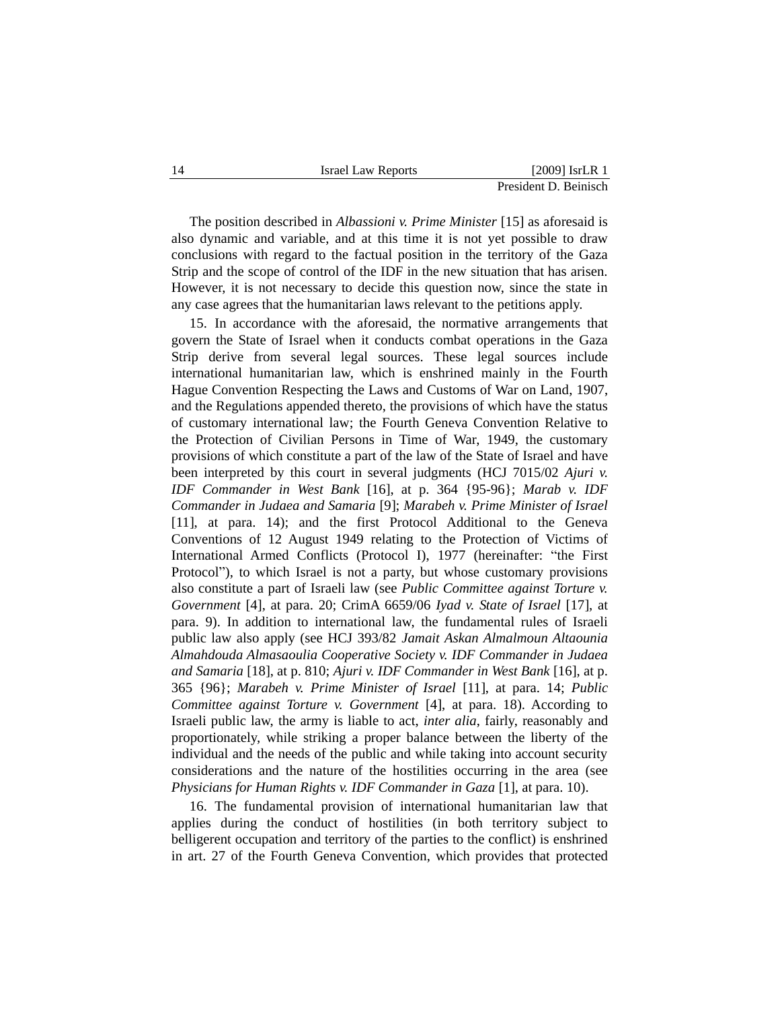| 14 | <b>Israel Law Reports</b> | $[2009]$ IsrLR 1      |
|----|---------------------------|-----------------------|
|    |                           | President D. Beinisch |

The position described in *Albassioni v. Prime Minister* [15] as aforesaid is also dynamic and variable, and at this time it is not yet possible to draw conclusions with regard to the factual position in the territory of the Gaza Strip and the scope of control of the IDF in the new situation that has arisen. However, it is not necessary to decide this question now, since the state in any case agrees that the humanitarian laws relevant to the petitions apply.

15. In accordance with the aforesaid, the normative arrangements that govern the State of Israel when it conducts combat operations in the Gaza Strip derive from several legal sources. These legal sources include international humanitarian law, which is enshrined mainly in the Fourth Hague Convention Respecting the Laws and Customs of War on Land, 1907, and the Regulations appended thereto, the provisions of which have the status of customary international law; the Fourth Geneva Convention Relative to the Protection of Civilian Persons in Time of War, 1949, the customary provisions of which constitute a part of the law of the State of Israel and have been interpreted by this court in several judgments (HCJ 7015/02 *Ajuri v. IDF Commander in West Bank* [16], at p. 364 {95-96}; *Marab v. IDF Commander in Judaea and Samaria* [9]; *Marabeh v. Prime Minister of Israel* [11], at para. 14); and the first Protocol Additional to the Geneva Conventions of 12 August 1949 relating to the Protection of Victims of International Armed Conflicts (Protocol I), 1977 (hereinafter: "the First Protocol"), to which Israel is not a party, but whose customary provisions also constitute a part of Israeli law (see *Public Committee against Torture v. Government* [4], at para. 20; CrimA 6659/06 *Iyad v. State of Israel* [17], at para. 9). In addition to international law, the fundamental rules of Israeli public law also apply (see HCJ 393/82 *Jamait Askan Almalmoun Altaounia Almahdouda Almasaoulia Cooperative Society v. IDF Commander in Judaea and Samaria* [18], at p. 810; *Ajuri v. IDF Commander in West Bank* [16], at p. 365 {96}; *Marabeh v. Prime Minister of Israel* [11], at para. 14; *Public Committee against Torture v. Government* [4], at para. 18). According to Israeli public law, the army is liable to act, *inter alia*, fairly, reasonably and proportionately, while striking a proper balance between the liberty of the individual and the needs of the public and while taking into account security considerations and the nature of the hostilities occurring in the area (see *Physicians for Human Rights v. IDF Commander in Gaza* [1], at para. 10).

16. The fundamental provision of international humanitarian law that applies during the conduct of hostilities (in both territory subject to belligerent occupation and territory of the parties to the conflict) is enshrined in art. 27 of the Fourth Geneva Convention, which provides that protected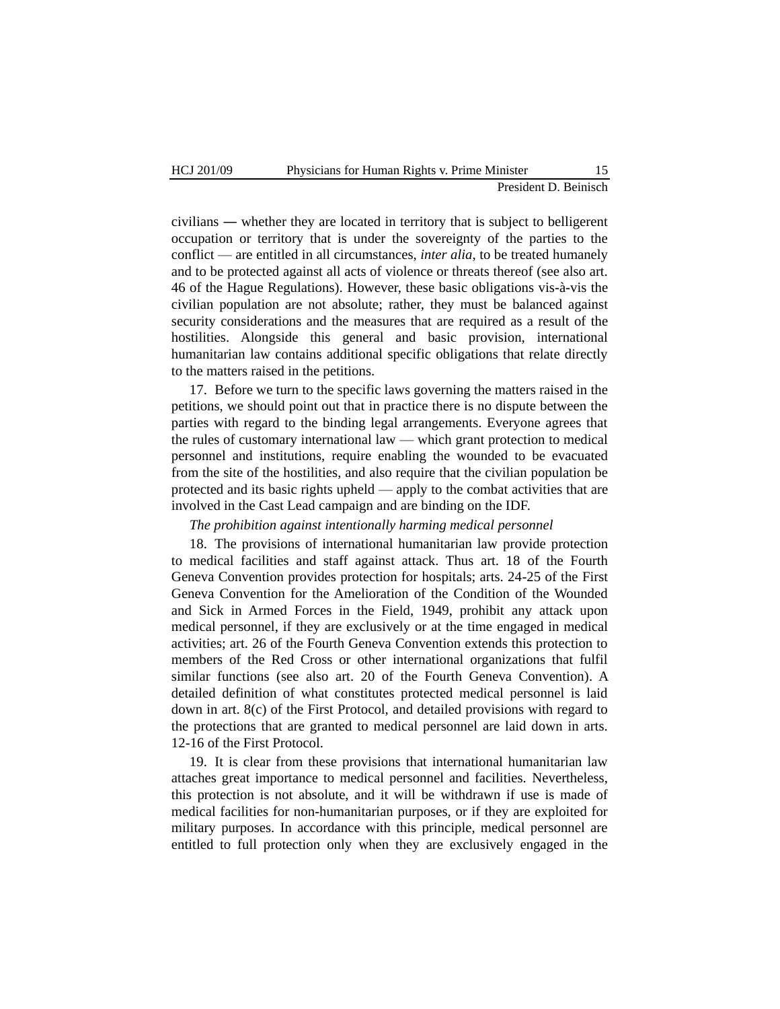civilians ― whether they are located in territory that is subject to belligerent occupation or territory that is under the sovereignty of the parties to the conflict — are entitled in all circumstances, *inter alia*, to be treated humanely and to be protected against all acts of violence or threats thereof (see also art. 46 of the Hague Regulations). However, these basic obligations vis-à-vis the civilian population are not absolute; rather, they must be balanced against security considerations and the measures that are required as a result of the hostilities. Alongside this general and basic provision, international humanitarian law contains additional specific obligations that relate directly to the matters raised in the petitions.

17. Before we turn to the specific laws governing the matters raised in the petitions, we should point out that in practice there is no dispute between the parties with regard to the binding legal arrangements. Everyone agrees that the rules of customary international law — which grant protection to medical personnel and institutions, require enabling the wounded to be evacuated from the site of the hostilities, and also require that the civilian population be protected and its basic rights upheld — apply to the combat activities that are involved in the Cast Lead campaign and are binding on the IDF.

#### *The prohibition against intentionally harming medical personnel*

18. The provisions of international humanitarian law provide protection to medical facilities and staff against attack. Thus art. 18 of the Fourth Geneva Convention provides protection for hospitals; arts. 24-25 of the First Geneva Convention for the Amelioration of the Condition of the Wounded and Sick in Armed Forces in the Field, 1949, prohibit any attack upon medical personnel, if they are exclusively or at the time engaged in medical activities; art. 26 of the Fourth Geneva Convention extends this protection to members of the Red Cross or other international organizations that fulfil similar functions (see also art. 20 of the Fourth Geneva Convention). A detailed definition of what constitutes protected medical personnel is laid down in art. 8(c) of the First Protocol, and detailed provisions with regard to the protections that are granted to medical personnel are laid down in arts. 12-16 of the First Protocol.

19. It is clear from these provisions that international humanitarian law attaches great importance to medical personnel and facilities. Nevertheless, this protection is not absolute, and it will be withdrawn if use is made of medical facilities for non-humanitarian purposes, or if they are exploited for military purposes. In accordance with this principle, medical personnel are entitled to full protection only when they are exclusively engaged in the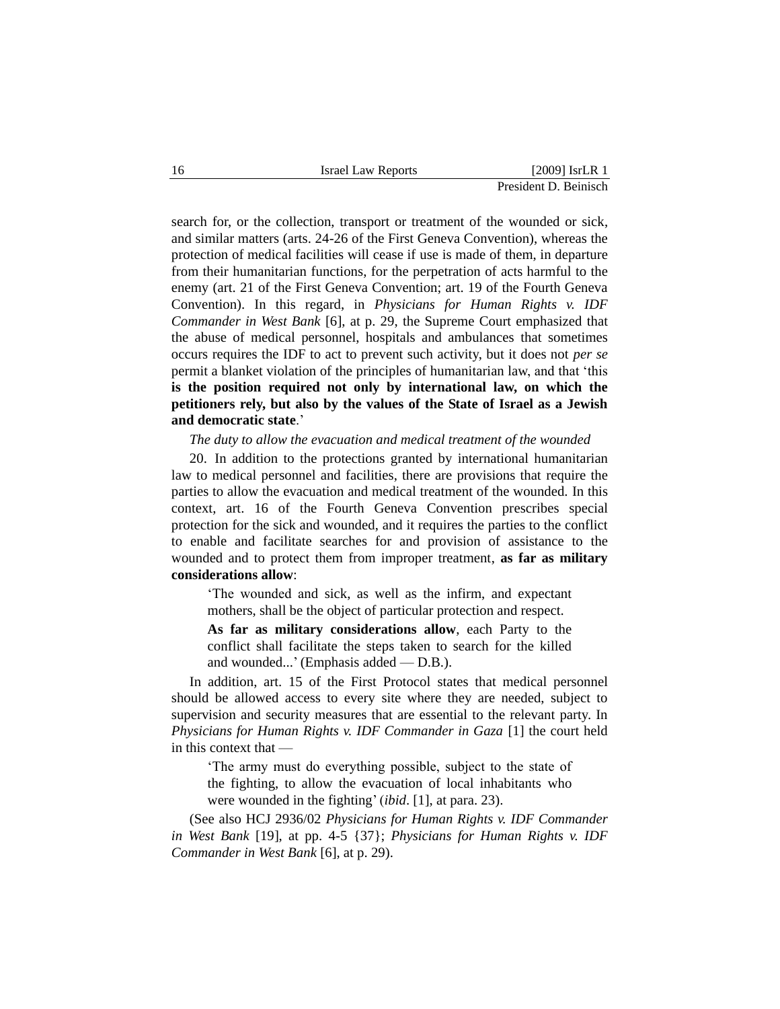search for, or the collection, transport or treatment of the wounded or sick, and similar matters (arts. 24-26 of the First Geneva Convention), whereas the protection of medical facilities will cease if use is made of them, in departure from their humanitarian functions, for the perpetration of acts harmful to the enemy (art. 21 of the First Geneva Convention; art. 19 of the Fourth Geneva Convention). In this regard, in *Physicians for Human Rights v. IDF Commander in West Bank* [6], at p. 29, the Supreme Court emphasized that the abuse of medical personnel, hospitals and ambulances that sometimes occurs requires the IDF to act to prevent such activity, but it does not *per se* permit a blanket violation of the principles of humanitarian law, and that "this **is the position required not only by international law, on which the petitioners rely, but also by the values of the State of Israel as a Jewish and democratic state**."

*The duty to allow the evacuation and medical treatment of the wounded*

20. In addition to the protections granted by international humanitarian law to medical personnel and facilities, there are provisions that require the parties to allow the evacuation and medical treatment of the wounded. In this context, art. 16 of the Fourth Geneva Convention prescribes special protection for the sick and wounded, and it requires the parties to the conflict to enable and facilitate searches for and provision of assistance to the wounded and to protect them from improper treatment, **as far as military considerations allow**:

"The wounded and sick, as well as the infirm, and expectant mothers, shall be the object of particular protection and respect.

**As far as military considerations allow**, each Party to the conflict shall facilitate the steps taken to search for the killed and wounded..." (Emphasis added — D.B.).

In addition, art. 15 of the First Protocol states that medical personnel should be allowed access to every site where they are needed, subject to supervision and security measures that are essential to the relevant party. In *Physicians for Human Rights v. IDF Commander in Gaza* [1] the court held in this context that —

"The army must do everything possible, subject to the state of the fighting, to allow the evacuation of local inhabitants who were wounded in the fighting' *(ibid.* [1], at para. 23).

(See also HCJ 2936/02 *Physicians for Human Rights v. IDF Commander in West Bank* [19], at pp. 4-5 {37}; *Physicians for Human Rights v. IDF Commander in West Bank* [6], at p. 29).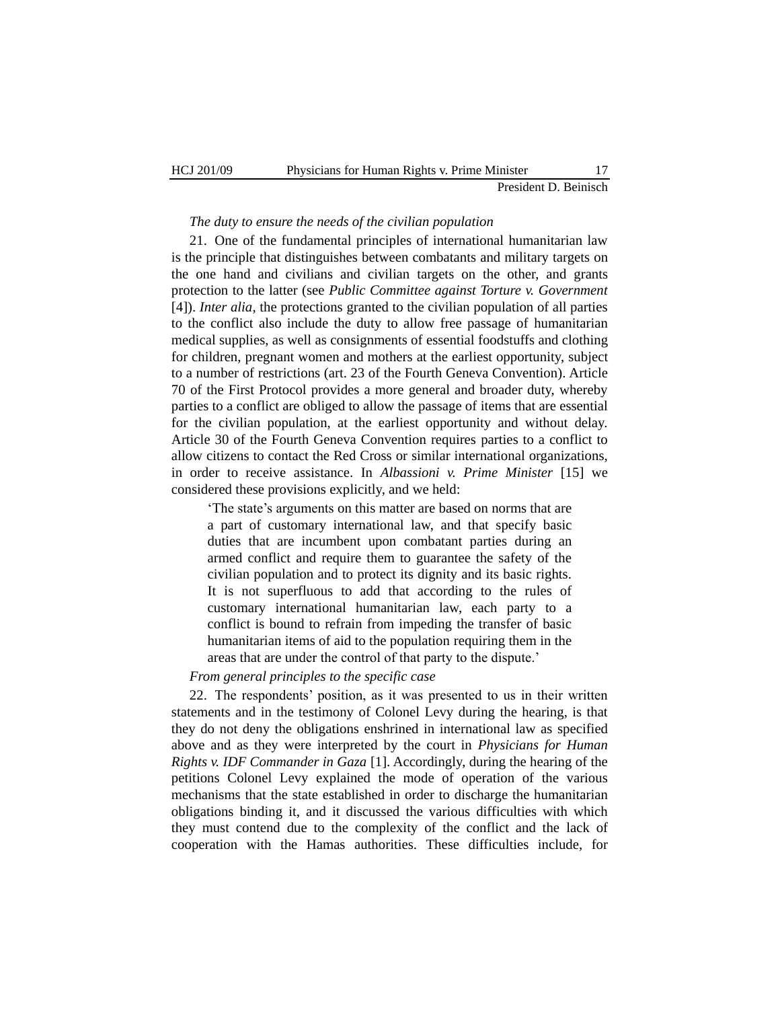#### *The duty to ensure the needs of the civilian population*

21. One of the fundamental principles of international humanitarian law is the principle that distinguishes between combatants and military targets on the one hand and civilians and civilian targets on the other, and grants protection to the latter (see *Public Committee against Torture v. Government* [4]). *Inter alia*, the protections granted to the civilian population of all parties to the conflict also include the duty to allow free passage of humanitarian medical supplies, as well as consignments of essential foodstuffs and clothing for children, pregnant women and mothers at the earliest opportunity, subject to a number of restrictions (art. 23 of the Fourth Geneva Convention). Article 70 of the First Protocol provides a more general and broader duty, whereby parties to a conflict are obliged to allow the passage of items that are essential for the civilian population, at the earliest opportunity and without delay. Article 30 of the Fourth Geneva Convention requires parties to a conflict to allow citizens to contact the Red Cross or similar international organizations, in order to receive assistance. In *Albassioni v. Prime Minister* [15] we considered these provisions explicitly, and we held:

'The state's arguments on this matter are based on norms that are a part of customary international law, and that specify basic duties that are incumbent upon combatant parties during an armed conflict and require them to guarantee the safety of the civilian population and to protect its dignity and its basic rights. It is not superfluous to add that according to the rules of customary international humanitarian law, each party to a conflict is bound to refrain from impeding the transfer of basic humanitarian items of aid to the population requiring them in the areas that are under the control of that party to the dispute."

# *From general principles to the specific case*

22. The respondents" position, as it was presented to us in their written statements and in the testimony of Colonel Levy during the hearing, is that they do not deny the obligations enshrined in international law as specified above and as they were interpreted by the court in *Physicians for Human Rights v. IDF Commander in Gaza* [1]. Accordingly, during the hearing of the petitions Colonel Levy explained the mode of operation of the various mechanisms that the state established in order to discharge the humanitarian obligations binding it, and it discussed the various difficulties with which they must contend due to the complexity of the conflict and the lack of cooperation with the Hamas authorities. These difficulties include, for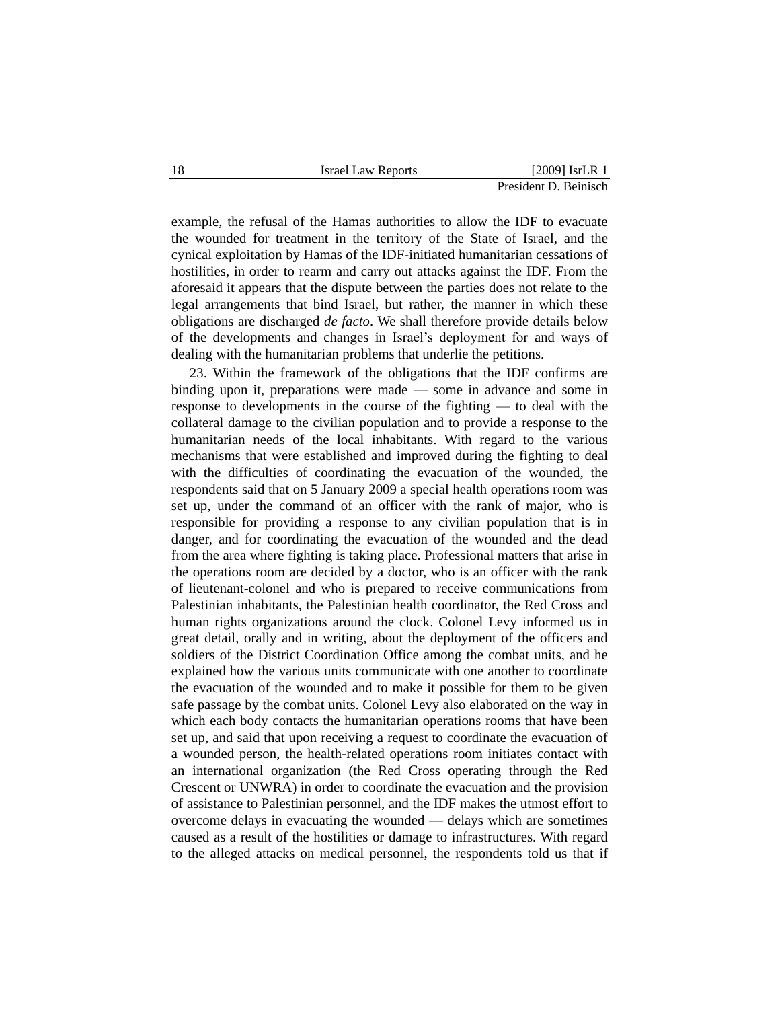example, the refusal of the Hamas authorities to allow the IDF to evacuate the wounded for treatment in the territory of the State of Israel, and the cynical exploitation by Hamas of the IDF-initiated humanitarian cessations of hostilities, in order to rearm and carry out attacks against the IDF. From the aforesaid it appears that the dispute between the parties does not relate to the legal arrangements that bind Israel, but rather, the manner in which these obligations are discharged *de facto*. We shall therefore provide details below of the developments and changes in Israel"s deployment for and ways of dealing with the humanitarian problems that underlie the petitions.

23. Within the framework of the obligations that the IDF confirms are binding upon it, preparations were made — some in advance and some in response to developments in the course of the fighting — to deal with the collateral damage to the civilian population and to provide a response to the humanitarian needs of the local inhabitants. With regard to the various mechanisms that were established and improved during the fighting to deal with the difficulties of coordinating the evacuation of the wounded, the respondents said that on 5 January 2009 a special health operations room was set up, under the command of an officer with the rank of major, who is responsible for providing a response to any civilian population that is in danger, and for coordinating the evacuation of the wounded and the dead from the area where fighting is taking place. Professional matters that arise in the operations room are decided by a doctor, who is an officer with the rank of lieutenant-colonel and who is prepared to receive communications from Palestinian inhabitants, the Palestinian health coordinator, the Red Cross and human rights organizations around the clock. Colonel Levy informed us in great detail, orally and in writing, about the deployment of the officers and soldiers of the District Coordination Office among the combat units, and he explained how the various units communicate with one another to coordinate the evacuation of the wounded and to make it possible for them to be given safe passage by the combat units. Colonel Levy also elaborated on the way in which each body contacts the humanitarian operations rooms that have been set up, and said that upon receiving a request to coordinate the evacuation of a wounded person, the health-related operations room initiates contact with an international organization (the Red Cross operating through the Red Crescent or UNWRA) in order to coordinate the evacuation and the provision of assistance to Palestinian personnel, and the IDF makes the utmost effort to overcome delays in evacuating the wounded — delays which are sometimes caused as a result of the hostilities or damage to infrastructures. With regard to the alleged attacks on medical personnel, the respondents told us that if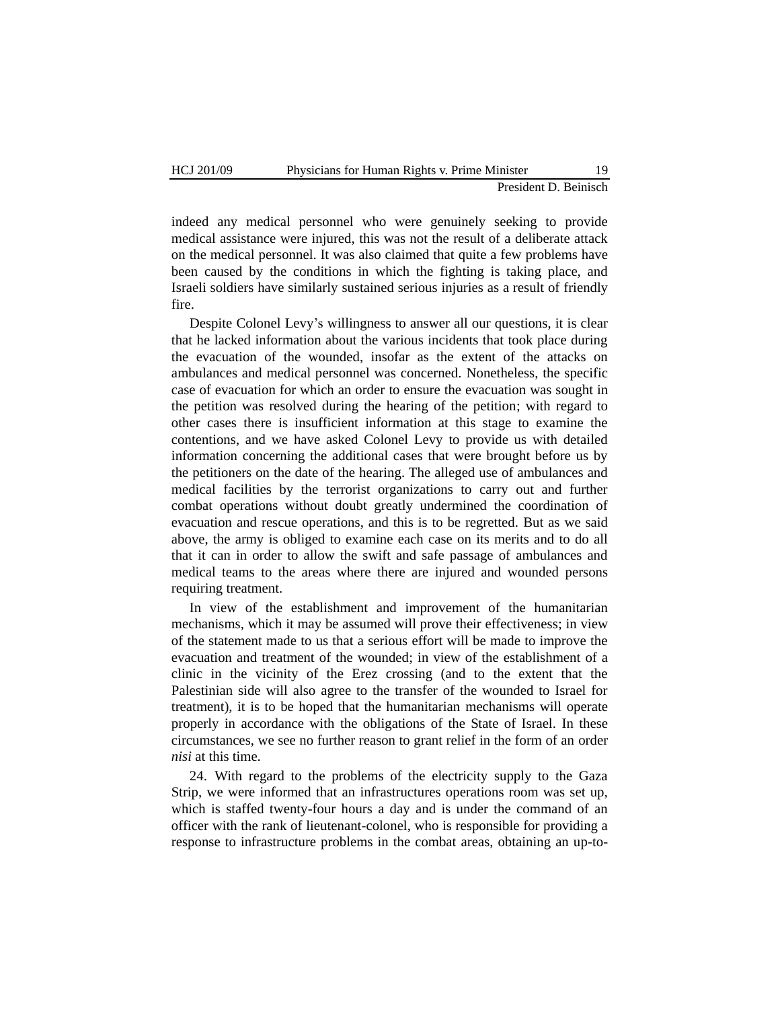indeed any medical personnel who were genuinely seeking to provide medical assistance were injured, this was not the result of a deliberate attack on the medical personnel. It was also claimed that quite a few problems have been caused by the conditions in which the fighting is taking place, and Israeli soldiers have similarly sustained serious injuries as a result of friendly fire.

Despite Colonel Levy"s willingness to answer all our questions, it is clear that he lacked information about the various incidents that took place during the evacuation of the wounded, insofar as the extent of the attacks on ambulances and medical personnel was concerned. Nonetheless, the specific case of evacuation for which an order to ensure the evacuation was sought in the petition was resolved during the hearing of the petition; with regard to other cases there is insufficient information at this stage to examine the contentions, and we have asked Colonel Levy to provide us with detailed information concerning the additional cases that were brought before us by the petitioners on the date of the hearing. The alleged use of ambulances and medical facilities by the terrorist organizations to carry out and further combat operations without doubt greatly undermined the coordination of evacuation and rescue operations, and this is to be regretted. But as we said above, the army is obliged to examine each case on its merits and to do all that it can in order to allow the swift and safe passage of ambulances and medical teams to the areas where there are injured and wounded persons requiring treatment.

In view of the establishment and improvement of the humanitarian mechanisms, which it may be assumed will prove their effectiveness; in view of the statement made to us that a serious effort will be made to improve the evacuation and treatment of the wounded; in view of the establishment of a clinic in the vicinity of the Erez crossing (and to the extent that the Palestinian side will also agree to the transfer of the wounded to Israel for treatment), it is to be hoped that the humanitarian mechanisms will operate properly in accordance with the obligations of the State of Israel. In these circumstances, we see no further reason to grant relief in the form of an order *nisi* at this time.

24. With regard to the problems of the electricity supply to the Gaza Strip, we were informed that an infrastructures operations room was set up, which is staffed twenty-four hours a day and is under the command of an officer with the rank of lieutenant-colonel, who is responsible for providing a response to infrastructure problems in the combat areas, obtaining an up-to-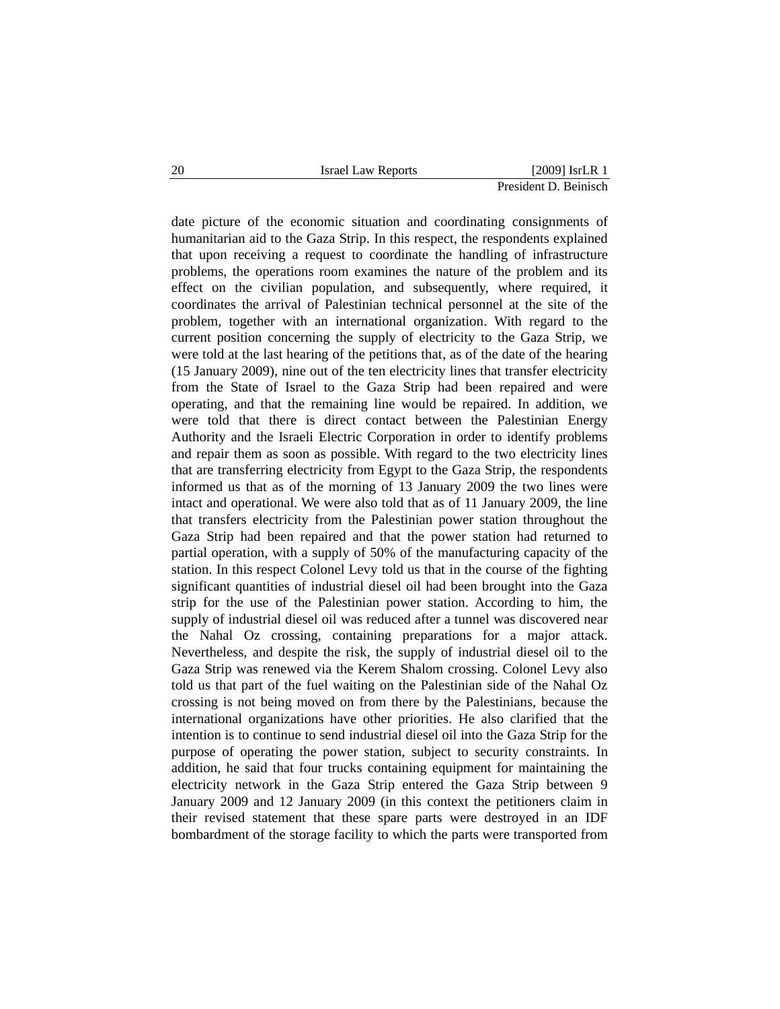date picture of the economic situation and coordinating consignments of humanitarian aid to the Gaza Strip. In this respect, the respondents explained that upon receiving a request to coordinate the handling of infrastructure problems, the operations room examines the nature of the problem and its effect on the civilian population, and subsequently, where required, it coordinates the arrival of Palestinian technical personnel at the site of the problem, together with an international organization. With regard to the current position concerning the supply of electricity to the Gaza Strip, we were told at the last hearing of the petitions that, as of the date of the hearing (15 January 2009), nine out of the ten electricity lines that transfer electricity from the State of Israel to the Gaza Strip had been repaired and were operating, and that the remaining line would be repaired. In addition, we were told that there is direct contact between the Palestinian Energy Authority and the Israeli Electric Corporation in order to identify problems and repair them as soon as possible. With regard to the two electricity lines that are transferring electricity from Egypt to the Gaza Strip, the respondents informed us that as of the morning of 13 January 2009 the two lines were intact and operational. We were also told that as of 11 January 2009, the line that transfers electricity from the Palestinian power station throughout the Gaza Strip had been repaired and that the power station had returned to partial operation, with a supply of 50% of the manufacturing capacity of the station. In this respect Colonel Levy told us that in the course of the fighting significant quantities of industrial diesel oil had been brought into the Gaza strip for the use of the Palestinian power station. According to him, the supply of industrial diesel oil was reduced after a tunnel was discovered near the Nahal Oz crossing, containing preparations for a major attack. Nevertheless, and despite the risk, the supply of industrial diesel oil to the Gaza Strip was renewed via the Kerem Shalom crossing. Colonel Levy also told us that part of the fuel waiting on the Palestinian side of the Nahal Oz crossing is not being moved on from there by the Palestinians, because the international organizations have other priorities. He also clarified that the intention is to continue to send industrial diesel oil into the Gaza Strip for the purpose of operating the power station, subject to security constraints. In addition, he said that four trucks containing equipment for maintaining the electricity network in the Gaza Strip entered the Gaza Strip between 9 January 2009 and 12 January 2009 (in this context the petitioners claim in their revised statement that these spare parts were destroyed in an IDF bombardment of the storage facility to which the parts were transported from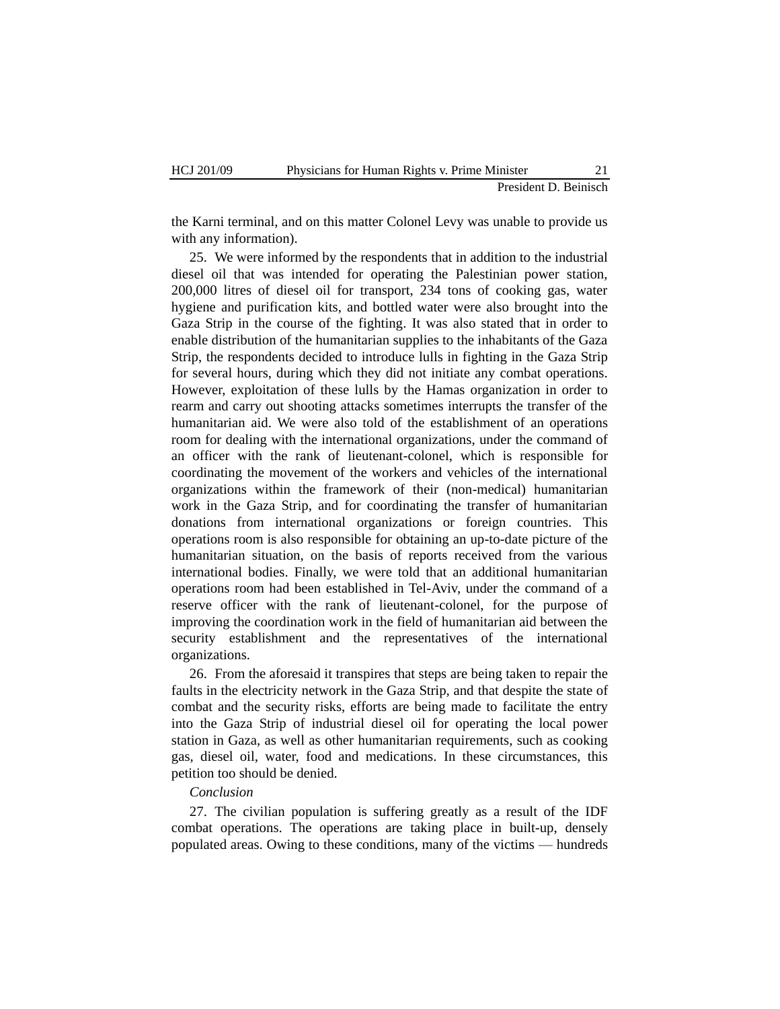the Karni terminal, and on this matter Colonel Levy was unable to provide us with any information).

25. We were informed by the respondents that in addition to the industrial diesel oil that was intended for operating the Palestinian power station, 200,000 litres of diesel oil for transport, 234 tons of cooking gas, water hygiene and purification kits, and bottled water were also brought into the Gaza Strip in the course of the fighting. It was also stated that in order to enable distribution of the humanitarian supplies to the inhabitants of the Gaza Strip, the respondents decided to introduce lulls in fighting in the Gaza Strip for several hours, during which they did not initiate any combat operations. However, exploitation of these lulls by the Hamas organization in order to rearm and carry out shooting attacks sometimes interrupts the transfer of the humanitarian aid. We were also told of the establishment of an operations room for dealing with the international organizations, under the command of an officer with the rank of lieutenant-colonel, which is responsible for coordinating the movement of the workers and vehicles of the international organizations within the framework of their (non-medical) humanitarian work in the Gaza Strip, and for coordinating the transfer of humanitarian donations from international organizations or foreign countries. This operations room is also responsible for obtaining an up-to-date picture of the humanitarian situation, on the basis of reports received from the various international bodies. Finally, we were told that an additional humanitarian operations room had been established in Tel-Aviv, under the command of a reserve officer with the rank of lieutenant-colonel, for the purpose of improving the coordination work in the field of humanitarian aid between the security establishment and the representatives of the international organizations.

26. From the aforesaid it transpires that steps are being taken to repair the faults in the electricity network in the Gaza Strip, and that despite the state of combat and the security risks, efforts are being made to facilitate the entry into the Gaza Strip of industrial diesel oil for operating the local power station in Gaza, as well as other humanitarian requirements, such as cooking gas, diesel oil, water, food and medications. In these circumstances, this petition too should be denied.

# *Conclusion*

27. The civilian population is suffering greatly as a result of the IDF combat operations. The operations are taking place in built-up, densely populated areas. Owing to these conditions, many of the victims — hundreds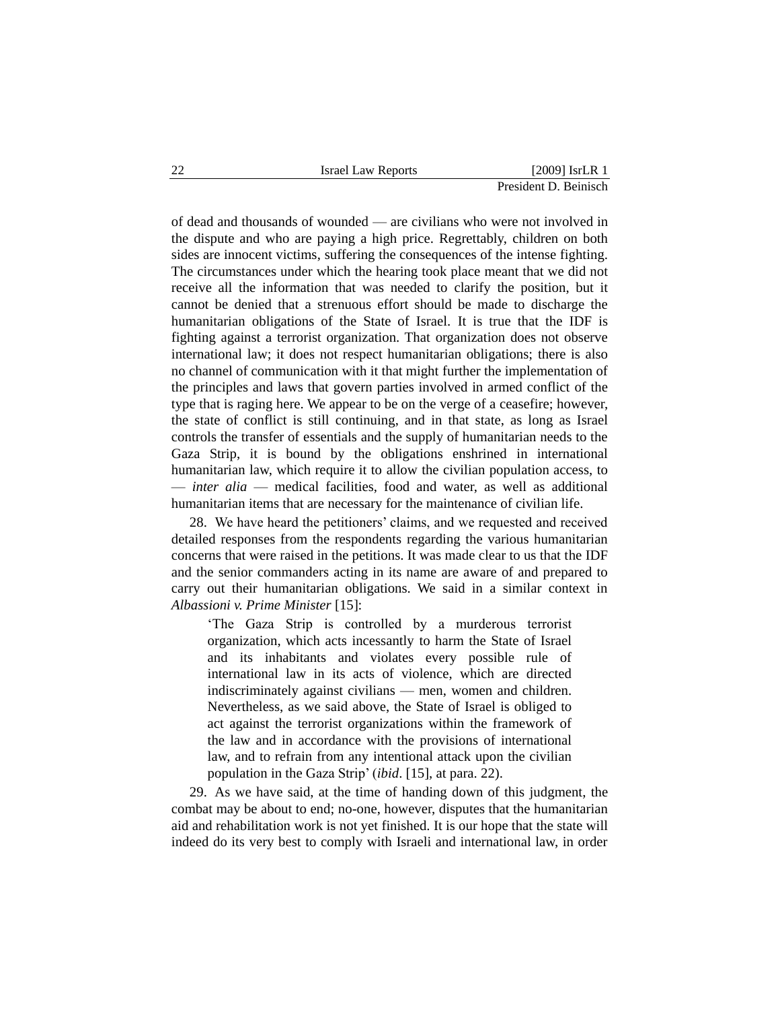of dead and thousands of wounded — are civilians who were not involved in the dispute and who are paying a high price. Regrettably, children on both sides are innocent victims, suffering the consequences of the intense fighting. The circumstances under which the hearing took place meant that we did not receive all the information that was needed to clarify the position, but it cannot be denied that a strenuous effort should be made to discharge the humanitarian obligations of the State of Israel. It is true that the IDF is fighting against a terrorist organization. That organization does not observe international law; it does not respect humanitarian obligations; there is also no channel of communication with it that might further the implementation of the principles and laws that govern parties involved in armed conflict of the type that is raging here. We appear to be on the verge of a ceasefire; however, the state of conflict is still continuing, and in that state, as long as Israel controls the transfer of essentials and the supply of humanitarian needs to the Gaza Strip, it is bound by the obligations enshrined in international humanitarian law, which require it to allow the civilian population access, to — *inter alia* — medical facilities, food and water, as well as additional humanitarian items that are necessary for the maintenance of civilian life.

28. We have heard the petitioners" claims, and we requested and received detailed responses from the respondents regarding the various humanitarian concerns that were raised in the petitions. It was made clear to us that the IDF and the senior commanders acting in its name are aware of and prepared to carry out their humanitarian obligations. We said in a similar context in *Albassioni v. Prime Minister* [15]:

"The Gaza Strip is controlled by a murderous terrorist organization, which acts incessantly to harm the State of Israel and its inhabitants and violates every possible rule of international law in its acts of violence, which are directed indiscriminately against civilians — men, women and children. Nevertheless, as we said above, the State of Israel is obliged to act against the terrorist organizations within the framework of the law and in accordance with the provisions of international law, and to refrain from any intentional attack upon the civilian population in the Gaza Strip" (*ibid*. [15], at para. 22).

29. As we have said, at the time of handing down of this judgment, the combat may be about to end; no-one, however, disputes that the humanitarian aid and rehabilitation work is not yet finished. It is our hope that the state will indeed do its very best to comply with Israeli and international law, in order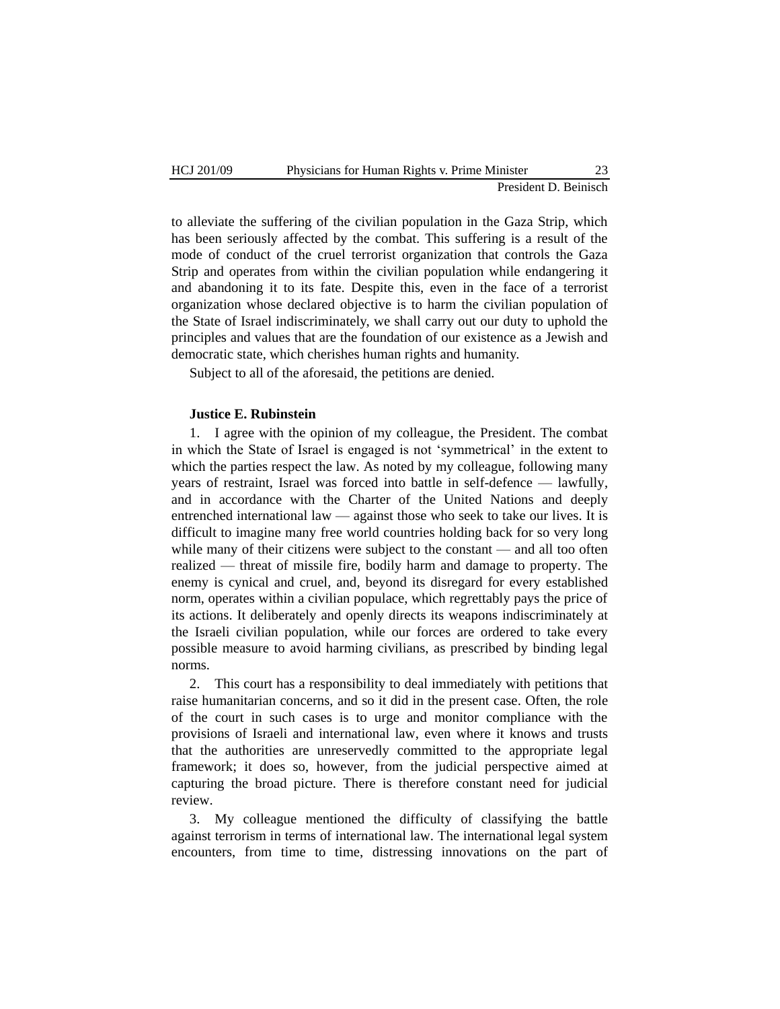to alleviate the suffering of the civilian population in the Gaza Strip, which has been seriously affected by the combat. This suffering is a result of the mode of conduct of the cruel terrorist organization that controls the Gaza Strip and operates from within the civilian population while endangering it and abandoning it to its fate. Despite this, even in the face of a terrorist organization whose declared objective is to harm the civilian population of the State of Israel indiscriminately, we shall carry out our duty to uphold the principles and values that are the foundation of our existence as a Jewish and democratic state, which cherishes human rights and humanity.

Subject to all of the aforesaid, the petitions are denied.

#### **Justice E. Rubinstein**

1. I agree with the opinion of my colleague, the President. The combat in which the State of Israel is engaged is not "symmetrical" in the extent to which the parties respect the law. As noted by my colleague, following many years of restraint, Israel was forced into battle in self-defence — lawfully, and in accordance with the Charter of the United Nations and deeply entrenched international law — against those who seek to take our lives. It is difficult to imagine many free world countries holding back for so very long while many of their citizens were subject to the constant — and all too often realized — threat of missile fire, bodily harm and damage to property. The enemy is cynical and cruel, and, beyond its disregard for every established norm, operates within a civilian populace, which regrettably pays the price of its actions. It deliberately and openly directs its weapons indiscriminately at the Israeli civilian population, while our forces are ordered to take every possible measure to avoid harming civilians, as prescribed by binding legal norms.

2. This court has a responsibility to deal immediately with petitions that raise humanitarian concerns, and so it did in the present case. Often, the role of the court in such cases is to urge and monitor compliance with the provisions of Israeli and international law, even where it knows and trusts that the authorities are unreservedly committed to the appropriate legal framework; it does so, however, from the judicial perspective aimed at capturing the broad picture. There is therefore constant need for judicial review.

3. My colleague mentioned the difficulty of classifying the battle against terrorism in terms of international law. The international legal system encounters, from time to time, distressing innovations on the part of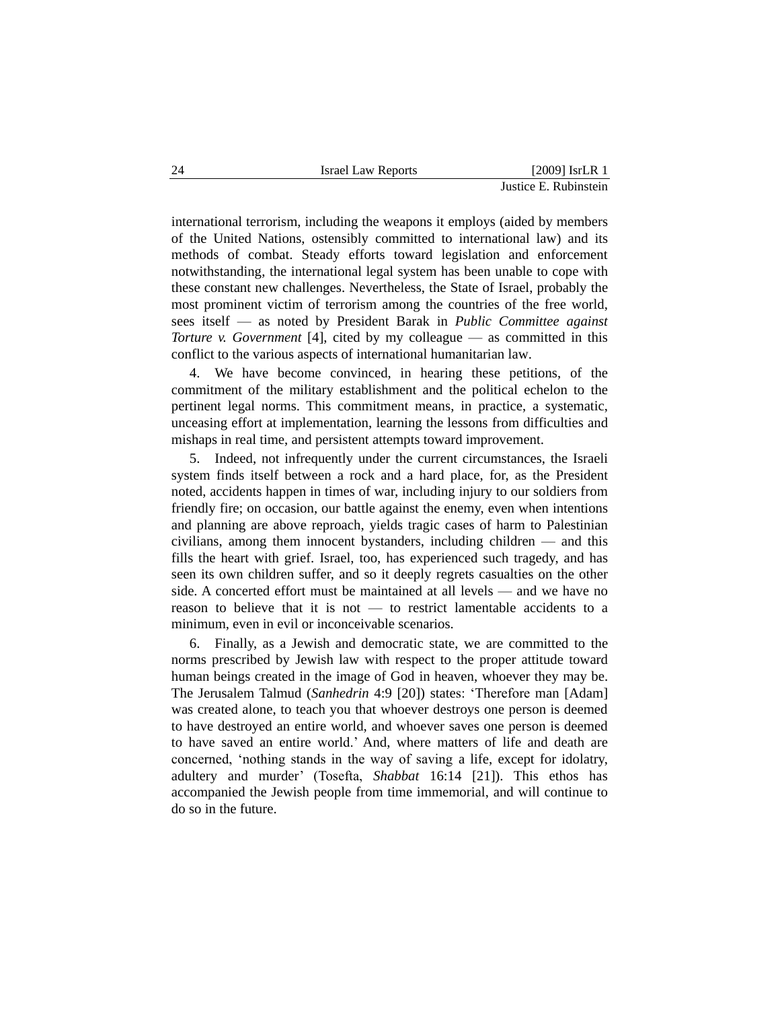international terrorism, including the weapons it employs (aided by members of the United Nations, ostensibly committed to international law) and its methods of combat. Steady efforts toward legislation and enforcement notwithstanding, the international legal system has been unable to cope with these constant new challenges. Nevertheless, the State of Israel, probably the most prominent victim of terrorism among the countries of the free world, sees itself — as noted by President Barak in *Public Committee against Torture v. Government* [4], cited by my colleague — as committed in this conflict to the various aspects of international humanitarian law.

We have become convinced, in hearing these petitions, of the commitment of the military establishment and the political echelon to the pertinent legal norms. This commitment means, in practice, a systematic, unceasing effort at implementation, learning the lessons from difficulties and mishaps in real time, and persistent attempts toward improvement.

5. Indeed, not infrequently under the current circumstances, the Israeli system finds itself between a rock and a hard place, for, as the President noted, accidents happen in times of war, including injury to our soldiers from friendly fire; on occasion, our battle against the enemy, even when intentions and planning are above reproach, yields tragic cases of harm to Palestinian civilians, among them innocent bystanders, including children — and this fills the heart with grief. Israel, too, has experienced such tragedy, and has seen its own children suffer, and so it deeply regrets casualties on the other side. A concerted effort must be maintained at all levels — and we have no reason to believe that it is not — to restrict lamentable accidents to a minimum, even in evil or inconceivable scenarios.

6. Finally, as a Jewish and democratic state, we are committed to the norms prescribed by Jewish law with respect to the proper attitude toward human beings created in the image of God in heaven, whoever they may be. The Jerusalem Talmud (*Sanhedrin* 4:9 [20]) states: "Therefore man [Adam] was created alone, to teach you that whoever destroys one person is deemed to have destroyed an entire world, and whoever saves one person is deemed to have saved an entire world." And, where matters of life and death are concerned, "nothing stands in the way of saving a life, except for idolatry, adultery and murder" (Tosefta, *Shabbat* 16:14 [21]). This ethos has accompanied the Jewish people from time immemorial, and will continue to do so in the future.